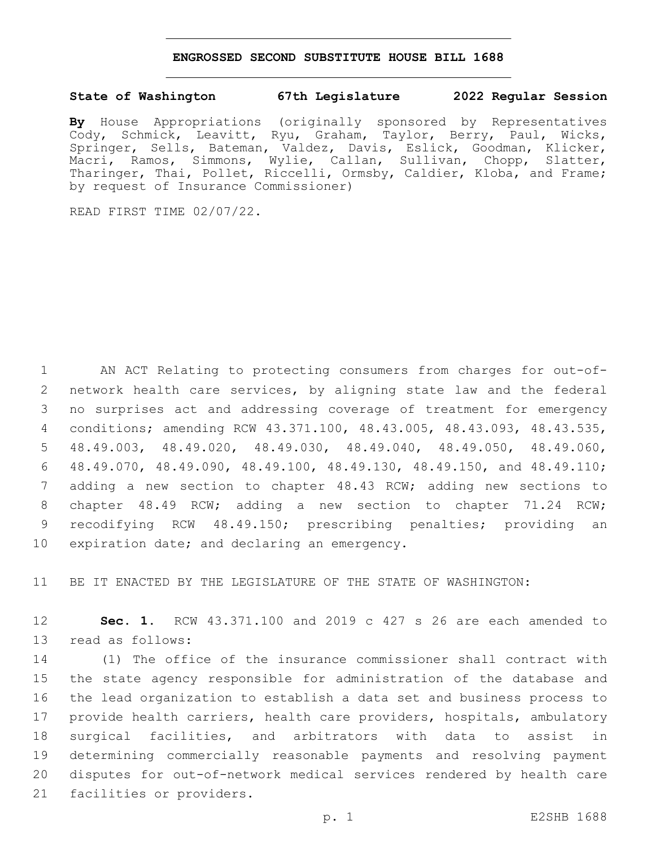## **ENGROSSED SECOND SUBSTITUTE HOUSE BILL 1688**

## **State of Washington 67th Legislature 2022 Regular Session**

**By** House Appropriations (originally sponsored by Representatives Cody, Schmick, Leavitt, Ryu, Graham, Taylor, Berry, Paul, Wicks, Springer, Sells, Bateman, Valdez, Davis, Eslick, Goodman, Klicker, Macri, Ramos, Simmons, Wylie, Callan, Sullivan, Chopp, Slatter, Tharinger, Thai, Pollet, Riccelli, Ormsby, Caldier, Kloba, and Frame; by request of Insurance Commissioner)

READ FIRST TIME 02/07/22.

 AN ACT Relating to protecting consumers from charges for out-of- network health care services, by aligning state law and the federal no surprises act and addressing coverage of treatment for emergency conditions; amending RCW 43.371.100, 48.43.005, 48.43.093, 48.43.535, 48.49.003, 48.49.020, 48.49.030, 48.49.040, 48.49.050, 48.49.060, 48.49.070, 48.49.090, 48.49.100, 48.49.130, 48.49.150, and 48.49.110; adding a new section to chapter 48.43 RCW; adding new sections to chapter 48.49 RCW; adding a new section to chapter 71.24 RCW; recodifying RCW 48.49.150; prescribing penalties; providing an 10 expiration date; and declaring an emergency.

11 BE IT ENACTED BY THE LEGISLATURE OF THE STATE OF WASHINGTON:

12 **Sec. 1.** RCW 43.371.100 and 2019 c 427 s 26 are each amended to 13 read as follows:

 (1) The office of the insurance commissioner shall contract with the state agency responsible for administration of the database and the lead organization to establish a data set and business process to provide health carriers, health care providers, hospitals, ambulatory surgical facilities, and arbitrators with data to assist in determining commercially reasonable payments and resolving payment disputes for out-of-network medical services rendered by health care 21 facilities or providers.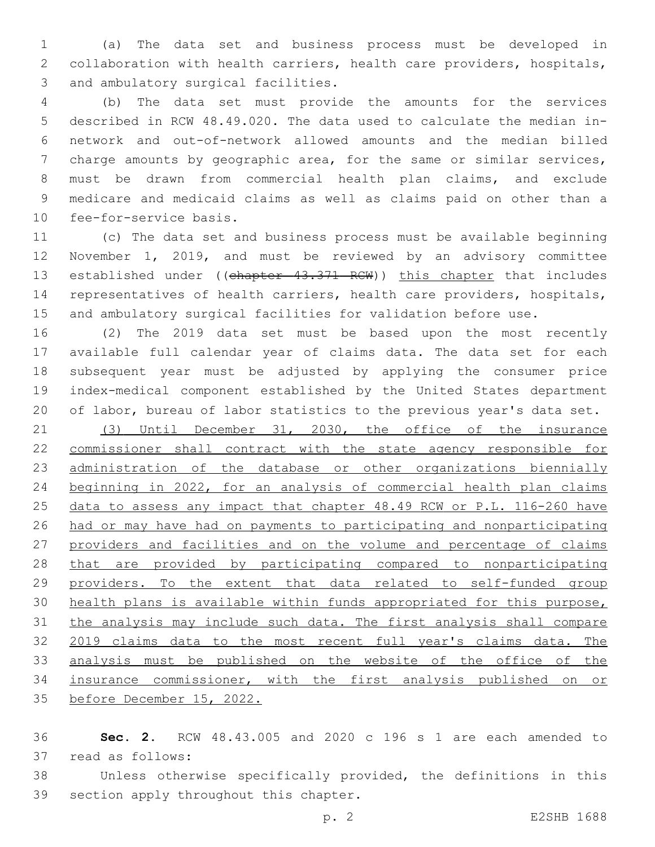(a) The data set and business process must be developed in collaboration with health carriers, health care providers, hospitals, 3 and ambulatory surgical facilities.

 (b) The data set must provide the amounts for the services described in RCW 48.49.020. The data used to calculate the median in- network and out-of-network allowed amounts and the median billed charge amounts by geographic area, for the same or similar services, must be drawn from commercial health plan claims, and exclude medicare and medicaid claims as well as claims paid on other than a 10 fee-for-service basis.

 (c) The data set and business process must be available beginning November 1, 2019, and must be reviewed by an advisory committee 13 established under ((chapter 43.371 RCW)) this chapter that includes representatives of health carriers, health care providers, hospitals, and ambulatory surgical facilities for validation before use.

 (2) The 2019 data set must be based upon the most recently available full calendar year of claims data. The data set for each subsequent year must be adjusted by applying the consumer price index-medical component established by the United States department of labor, bureau of labor statistics to the previous year's data set.

 (3) Until December 31, 2030, the office of the insurance commissioner shall contract with the state agency responsible for administration of the database or other organizations biennially beginning in 2022, for an analysis of commercial health plan claims data to assess any impact that chapter 48.49 RCW or P.L. 116-260 have had or may have had on payments to participating and nonparticipating providers and facilities and on the volume and percentage of claims that are provided by participating compared to nonparticipating providers. To the extent that data related to self-funded group health plans is available within funds appropriated for this purpose, the analysis may include such data. The first analysis shall compare 2019 claims data to the most recent full year's claims data. The analysis must be published on the website of the office of the insurance commissioner, with the first analysis published on or before December 15, 2022.

 **Sec. 2.** RCW 48.43.005 and 2020 c 196 s 1 are each amended to 37 read as follows:

 Unless otherwise specifically provided, the definitions in this 39 section apply throughout this chapter.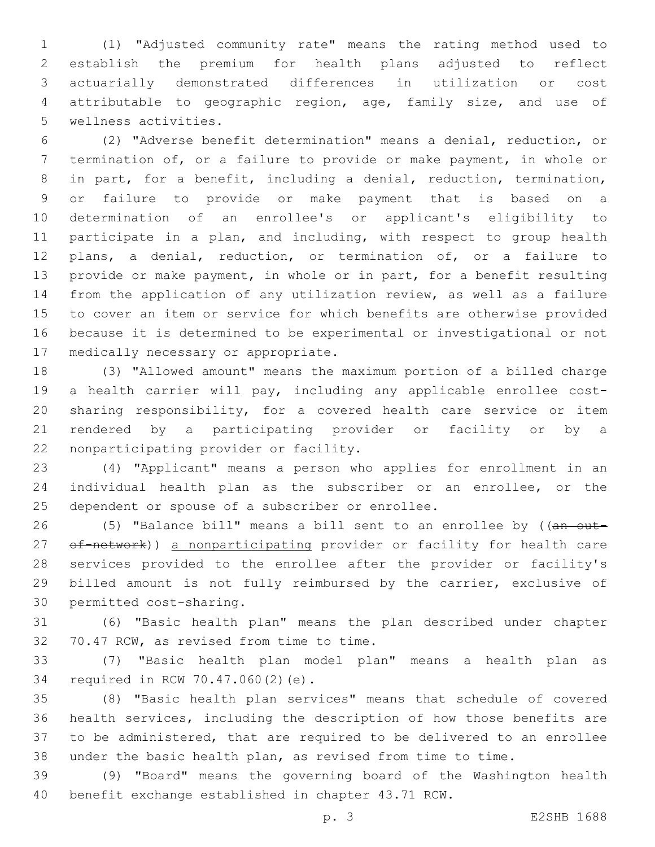(1) "Adjusted community rate" means the rating method used to establish the premium for health plans adjusted to reflect actuarially demonstrated differences in utilization or cost attributable to geographic region, age, family size, and use of 5 wellness activities.

 (2) "Adverse benefit determination" means a denial, reduction, or termination of, or a failure to provide or make payment, in whole or in part, for a benefit, including a denial, reduction, termination, or failure to provide or make payment that is based on a determination of an enrollee's or applicant's eligibility to participate in a plan, and including, with respect to group health plans, a denial, reduction, or termination of, or a failure to provide or make payment, in whole or in part, for a benefit resulting from the application of any utilization review, as well as a failure to cover an item or service for which benefits are otherwise provided because it is determined to be experimental or investigational or not 17 medically necessary or appropriate.

 (3) "Allowed amount" means the maximum portion of a billed charge a health carrier will pay, including any applicable enrollee cost- sharing responsibility, for a covered health care service or item rendered by a participating provider or facility or by a 22 nonparticipating provider or facility.

 (4) "Applicant" means a person who applies for enrollment in an individual health plan as the subscriber or an enrollee, or the 25 dependent or spouse of a subscriber or enrollee.

26 (5) "Balance bill" means a bill sent to an enrollee by ((an out-27 of-network)) a nonparticipating provider or facility for health care services provided to the enrollee after the provider or facility's billed amount is not fully reimbursed by the carrier, exclusive of 30 permitted cost-sharing.

 (6) "Basic health plan" means the plan described under chapter 32 70.47 RCW, as revised from time to time.

 (7) "Basic health plan model plan" means a health plan as 34 required in RCW 70.47.060(2)(e).

 (8) "Basic health plan services" means that schedule of covered health services, including the description of how those benefits are to be administered, that are required to be delivered to an enrollee under the basic health plan, as revised from time to time.

 (9) "Board" means the governing board of the Washington health benefit exchange established in chapter 43.71 RCW.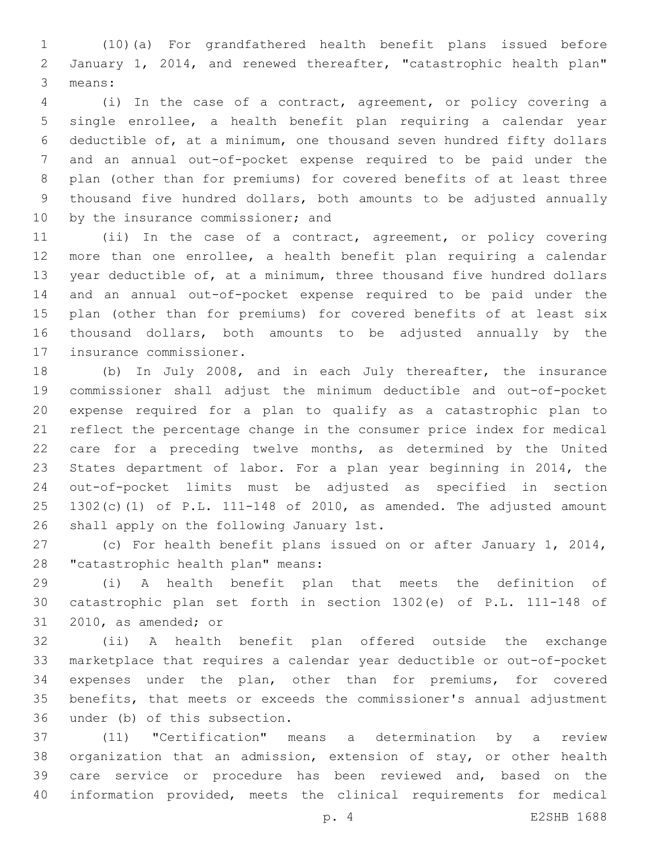(10)(a) For grandfathered health benefit plans issued before January 1, 2014, and renewed thereafter, "catastrophic health plan" 3 means:

 (i) In the case of a contract, agreement, or policy covering a single enrollee, a health benefit plan requiring a calendar year deductible of, at a minimum, one thousand seven hundred fifty dollars and an annual out-of-pocket expense required to be paid under the plan (other than for premiums) for covered benefits of at least three thousand five hundred dollars, both amounts to be adjusted annually 10 by the insurance commissioner; and

 (ii) In the case of a contract, agreement, or policy covering more than one enrollee, a health benefit plan requiring a calendar year deductible of, at a minimum, three thousand five hundred dollars and an annual out-of-pocket expense required to be paid under the plan (other than for premiums) for covered benefits of at least six thousand dollars, both amounts to be adjusted annually by the 17 insurance commissioner.

 (b) In July 2008, and in each July thereafter, the insurance commissioner shall adjust the minimum deductible and out-of-pocket expense required for a plan to qualify as a catastrophic plan to reflect the percentage change in the consumer price index for medical care for a preceding twelve months, as determined by the United States department of labor. For a plan year beginning in 2014, the out-of-pocket limits must be adjusted as specified in section 1302(c)(1) of P.L. 111-148 of 2010, as amended. The adjusted amount 26 shall apply on the following January 1st.

 (c) For health benefit plans issued on or after January 1, 2014, 28 "catastrophic health plan" means:

 (i) A health benefit plan that meets the definition of catastrophic plan set forth in section 1302(e) of P.L. 111-148 of 31 2010, as amended; or

 (ii) A health benefit plan offered outside the exchange marketplace that requires a calendar year deductible or out-of-pocket expenses under the plan, other than for premiums, for covered benefits, that meets or exceeds the commissioner's annual adjustment 36 under (b) of this subsection.

 (11) "Certification" means a determination by a review organization that an admission, extension of stay, or other health care service or procedure has been reviewed and, based on the information provided, meets the clinical requirements for medical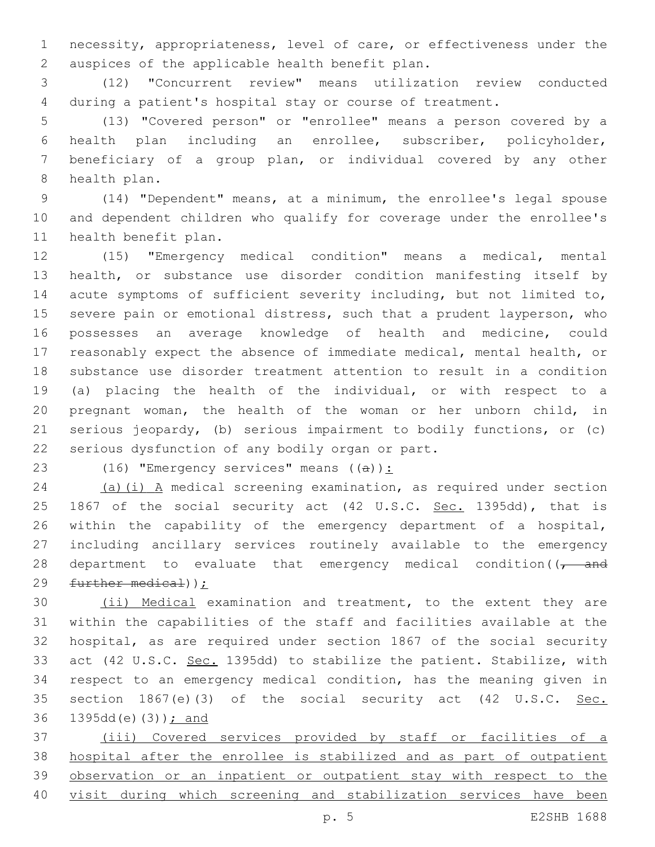necessity, appropriateness, level of care, or effectiveness under the 2 auspices of the applicable health benefit plan.

 (12) "Concurrent review" means utilization review conducted during a patient's hospital stay or course of treatment.

 (13) "Covered person" or "enrollee" means a person covered by a health plan including an enrollee, subscriber, policyholder, beneficiary of a group plan, or individual covered by any other 8 health plan.

 (14) "Dependent" means, at a minimum, the enrollee's legal spouse and dependent children who qualify for coverage under the enrollee's 11 health benefit plan.

 (15) "Emergency medical condition" means a medical, mental health, or substance use disorder condition manifesting itself by acute symptoms of sufficient severity including, but not limited to, severe pain or emotional distress, such that a prudent layperson, who possesses an average knowledge of health and medicine, could reasonably expect the absence of immediate medical, mental health, or substance use disorder treatment attention to result in a condition (a) placing the health of the individual, or with respect to a pregnant woman, the health of the woman or her unborn child, in serious jeopardy, (b) serious impairment to bodily functions, or (c) 22 serious dysfunction of any bodily organ or part.

23 (16) "Emergency services" means  $((a))$ :

 (a)(i) A medical screening examination, as required under section 25 1867 of the social security act (42 U.S.C. Sec. 1395dd), that is within the capability of the emergency department of a hospital, including ancillary services routinely available to the emergency 28 department to evaluate that emergency medical condition( $\sqrt{1 - \text{and}}$ further medical));

 (ii) Medical examination and treatment, to the extent they are within the capabilities of the staff and facilities available at the hospital, as are required under section 1867 of the social security act (42 U.S.C. Sec. 1395dd) to stabilize the patient. Stabilize, with respect to an emergency medical condition, has the meaning given in 35 section 1867(e)(3) of the social security act (42 U.S.C. Sec. 36 1395dd(e)(3)); and

 (iii) Covered services provided by staff or facilities of a hospital after the enrollee is stabilized and as part of outpatient observation or an inpatient or outpatient stay with respect to the visit during which screening and stabilization services have been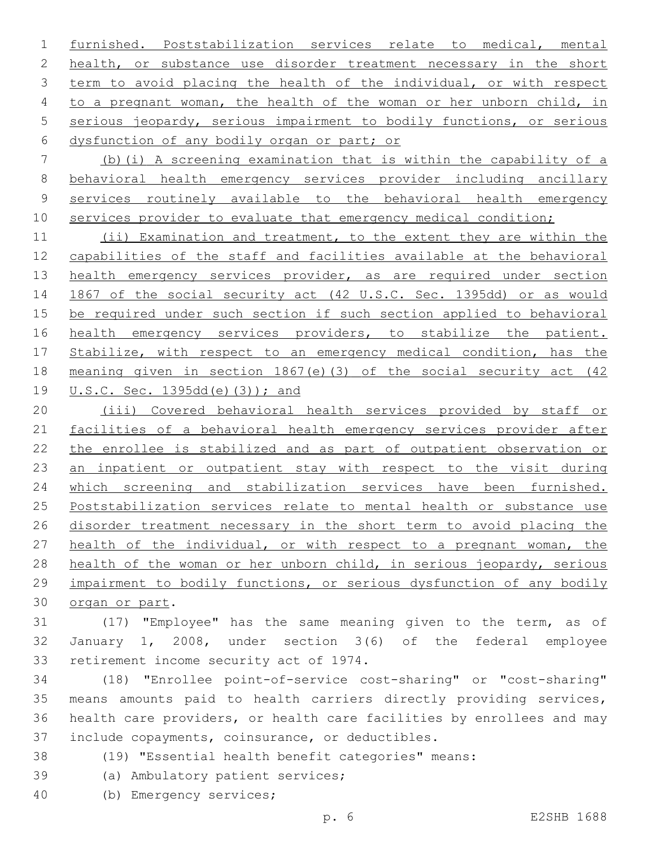furnished. Poststabilization services relate to medical, mental 2 health, or substance use disorder treatment necessary in the short term to avoid placing the health of the individual, or with respect to a pregnant woman, the health of the woman or her unborn child, in serious jeopardy, serious impairment to bodily functions, or serious 6 dysfunction of any bodily organ or part; or

 (b)(i) A screening examination that is within the capability of a behavioral health emergency services provider including ancillary services routinely available to the behavioral health emergency 10 services provider to evaluate that emergency medical condition;

 (ii) Examination and treatment, to the extent they are within the capabilities of the staff and facilities available at the behavioral 13 health emergency services provider, as are required under section 1867 of the social security act (42 U.S.C. Sec. 1395dd) or as would be required under such section if such section applied to behavioral 16 health emergency services providers, to stabilize the patient. 17 Stabilize, with respect to an emergency medical condition, has the meaning given in section 1867(e)(3) of the social security act (42 U.S.C. Sec. 1395dd(e)(3)); and

 (iii) Covered behavioral health services provided by staff or facilities of a behavioral health emergency services provider after the enrollee is stabilized and as part of outpatient observation or an inpatient or outpatient stay with respect to the visit during which screening and stabilization services have been furnished. Poststabilization services relate to mental health or substance use disorder treatment necessary in the short term to avoid placing the health of the individual, or with respect to a pregnant woman, the health of the woman or her unborn child, in serious jeopardy, serious impairment to bodily functions, or serious dysfunction of any bodily 30 organ or part.

 (17) "Employee" has the same meaning given to the term, as of January 1, 2008, under section 3(6) of the federal employee 33 retirement income security act of 1974.

 (18) "Enrollee point-of-service cost-sharing" or "cost-sharing" means amounts paid to health carriers directly providing services, health care providers, or health care facilities by enrollees and may 37 include copayments, coinsurance, or deductibles.

- (19) "Essential health benefit categories" means:
- 39 (a) Ambulatory patient services;
- (b) Emergency services;40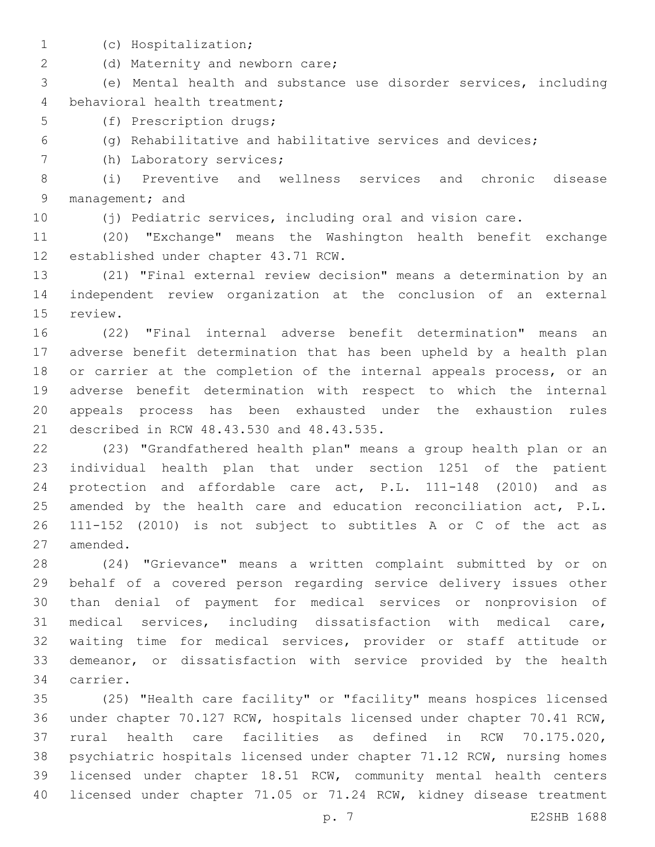- 
- (c) Hospitalization;1

2 (d) Maternity and newborn care;

 (e) Mental health and substance use disorder services, including 4 behavioral health treatment;

5 (f) Prescription drugs;

(g) Rehabilitative and habilitative services and devices;

7 (h) Laboratory services;

 (i) Preventive and wellness services and chronic disease 9 management; and

(j) Pediatric services, including oral and vision care.

 (20) "Exchange" means the Washington health benefit exchange 12 established under chapter 43.71 RCW.

 (21) "Final external review decision" means a determination by an independent review organization at the conclusion of an external 15 review.

 (22) "Final internal adverse benefit determination" means an adverse benefit determination that has been upheld by a health plan or carrier at the completion of the internal appeals process, or an adverse benefit determination with respect to which the internal appeals process has been exhausted under the exhaustion rules 21 described in RCW 48.43.530 and 48.43.535.

 (23) "Grandfathered health plan" means a group health plan or an individual health plan that under section 1251 of the patient protection and affordable care act, P.L. 111-148 (2010) and as 25 amended by the health care and education reconciliation act, P.L. 111-152 (2010) is not subject to subtitles A or C of the act as 27 amended.

 (24) "Grievance" means a written complaint submitted by or on behalf of a covered person regarding service delivery issues other than denial of payment for medical services or nonprovision of medical services, including dissatisfaction with medical care, waiting time for medical services, provider or staff attitude or demeanor, or dissatisfaction with service provided by the health 34 carrier.

 (25) "Health care facility" or "facility" means hospices licensed under chapter 70.127 RCW, hospitals licensed under chapter 70.41 RCW, rural health care facilities as defined in RCW 70.175.020, psychiatric hospitals licensed under chapter 71.12 RCW, nursing homes licensed under chapter 18.51 RCW, community mental health centers licensed under chapter 71.05 or 71.24 RCW, kidney disease treatment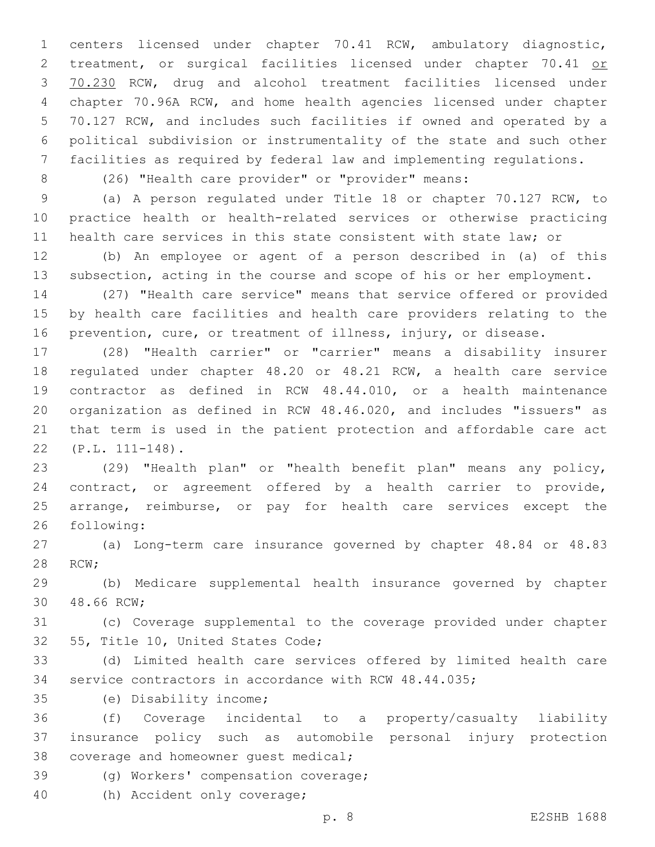centers licensed under chapter 70.41 RCW, ambulatory diagnostic, 2 treatment, or surgical facilities licensed under chapter 70.41 or 70.230 RCW, drug and alcohol treatment facilities licensed under chapter 70.96A RCW, and home health agencies licensed under chapter 70.127 RCW, and includes such facilities if owned and operated by a political subdivision or instrumentality of the state and such other facilities as required by federal law and implementing regulations.

(26) "Health care provider" or "provider" means:

 (a) A person regulated under Title 18 or chapter 70.127 RCW, to practice health or health-related services or otherwise practicing health care services in this state consistent with state law; or

 (b) An employee or agent of a person described in (a) of this subsection, acting in the course and scope of his or her employment.

 (27) "Health care service" means that service offered or provided by health care facilities and health care providers relating to the prevention, cure, or treatment of illness, injury, or disease.

 (28) "Health carrier" or "carrier" means a disability insurer regulated under chapter 48.20 or 48.21 RCW, a health care service contractor as defined in RCW 48.44.010, or a health maintenance organization as defined in RCW 48.46.020, and includes "issuers" as that term is used in the patient protection and affordable care act (P.L. 111-148).22

 (29) "Health plan" or "health benefit plan" means any policy, contract, or agreement offered by a health carrier to provide, arrange, reimburse, or pay for health care services except the 26 following:

 (a) Long-term care insurance governed by chapter 48.84 or 48.83 28 RCW;

 (b) Medicare supplemental health insurance governed by chapter 30 48.66 RCW;

 (c) Coverage supplemental to the coverage provided under chapter 32 55, Title 10, United States Code;

 (d) Limited health care services offered by limited health care service contractors in accordance with RCW 48.44.035;

(e) Disability income;35

 (f) Coverage incidental to a property/casualty liability insurance policy such as automobile personal injury protection 38 coverage and homeowner quest medical;

39 (g) Workers' compensation coverage;

40 (h) Accident only coverage;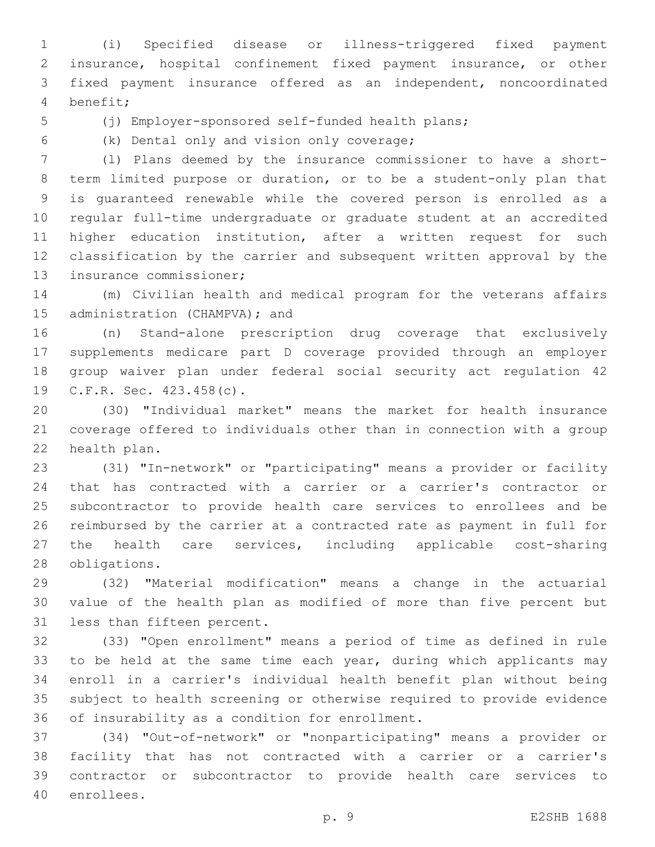(i) Specified disease or illness-triggered fixed payment insurance, hospital confinement fixed payment insurance, or other fixed payment insurance offered as an independent, noncoordinated benefit;4

(j) Employer-sponsored self-funded health plans;

(k) Dental only and vision only coverage;6

 (l) Plans deemed by the insurance commissioner to have a short- term limited purpose or duration, or to be a student-only plan that is guaranteed renewable while the covered person is enrolled as a regular full-time undergraduate or graduate student at an accredited higher education institution, after a written request for such classification by the carrier and subsequent written approval by the 13 insurance commissioner;

 (m) Civilian health and medical program for the veterans affairs 15 administration (CHAMPVA); and

 (n) Stand-alone prescription drug coverage that exclusively supplements medicare part D coverage provided through an employer group waiver plan under federal social security act regulation 42 19 C.F.R. Sec. 423.458(c).

 (30) "Individual market" means the market for health insurance coverage offered to individuals other than in connection with a group 22 health plan.

 (31) "In-network" or "participating" means a provider or facility that has contracted with a carrier or a carrier's contractor or subcontractor to provide health care services to enrollees and be reimbursed by the carrier at a contracted rate as payment in full for the health care services, including applicable cost-sharing 28 obligations.

 (32) "Material modification" means a change in the actuarial value of the health plan as modified of more than five percent but 31 less than fifteen percent.

 (33) "Open enrollment" means a period of time as defined in rule 33 to be held at the same time each year, during which applicants may enroll in a carrier's individual health benefit plan without being subject to health screening or otherwise required to provide evidence 36 of insurability as a condition for enrollment.

 (34) "Out-of-network" or "nonparticipating" means a provider or facility that has not contracted with a carrier or a carrier's contractor or subcontractor to provide health care services to 40 enrollees.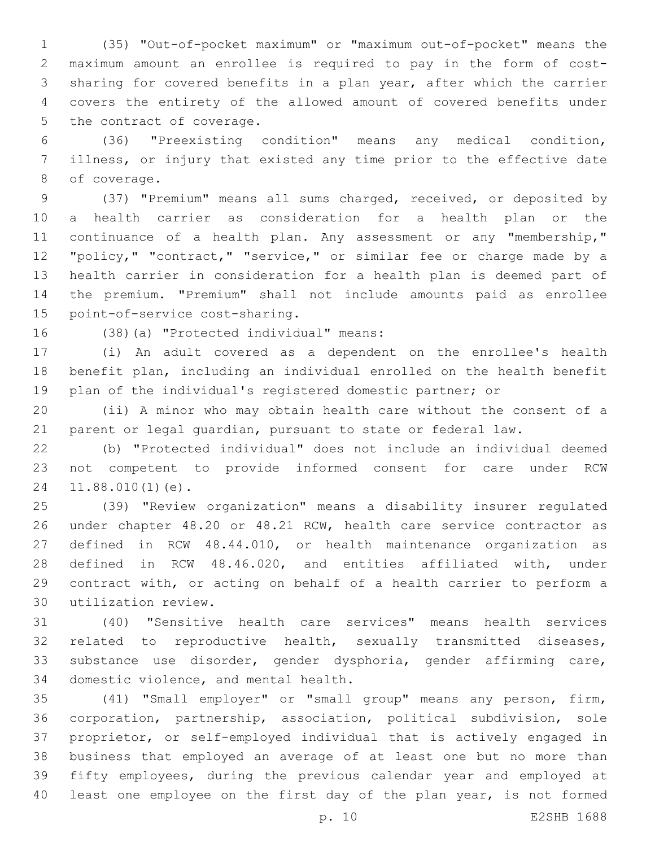(35) "Out-of-pocket maximum" or "maximum out-of-pocket" means the maximum amount an enrollee is required to pay in the form of cost- sharing for covered benefits in a plan year, after which the carrier covers the entirety of the allowed amount of covered benefits under 5 the contract of coverage.

 (36) "Preexisting condition" means any medical condition, illness, or injury that existed any time prior to the effective date 8 of coverage.

 (37) "Premium" means all sums charged, received, or deposited by a health carrier as consideration for a health plan or the 11 continuance of a health plan. Any assessment or any "membership," "policy," "contract," "service," or similar fee or charge made by a health carrier in consideration for a health plan is deemed part of the premium. "Premium" shall not include amounts paid as enrollee 15 point-of-service cost-sharing.

16 (38)(a) "Protected individual" means:

 (i) An adult covered as a dependent on the enrollee's health benefit plan, including an individual enrolled on the health benefit plan of the individual's registered domestic partner; or

 (ii) A minor who may obtain health care without the consent of a parent or legal guardian, pursuant to state or federal law.

 (b) "Protected individual" does not include an individual deemed not competent to provide informed consent for care under RCW 24 11.88.010(1)(e).

 (39) "Review organization" means a disability insurer regulated under chapter 48.20 or 48.21 RCW, health care service contractor as defined in RCW 48.44.010, or health maintenance organization as defined in RCW 48.46.020, and entities affiliated with, under contract with, or acting on behalf of a health carrier to perform a utilization review.30

 (40) "Sensitive health care services" means health services related to reproductive health, sexually transmitted diseases, substance use disorder, gender dysphoria, gender affirming care, 34 domestic violence, and mental health.

 (41) "Small employer" or "small group" means any person, firm, corporation, partnership, association, political subdivision, sole proprietor, or self-employed individual that is actively engaged in business that employed an average of at least one but no more than fifty employees, during the previous calendar year and employed at 40 least one employee on the first day of the plan year, is not formed

p. 10 E2SHB 1688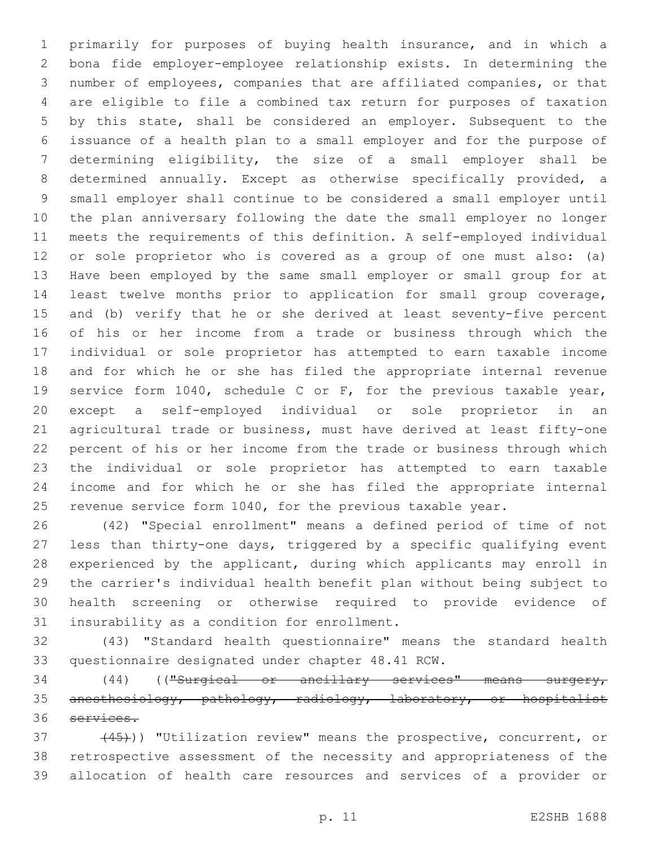primarily for purposes of buying health insurance, and in which a bona fide employer-employee relationship exists. In determining the number of employees, companies that are affiliated companies, or that are eligible to file a combined tax return for purposes of taxation by this state, shall be considered an employer. Subsequent to the issuance of a health plan to a small employer and for the purpose of determining eligibility, the size of a small employer shall be determined annually. Except as otherwise specifically provided, a small employer shall continue to be considered a small employer until the plan anniversary following the date the small employer no longer meets the requirements of this definition. A self-employed individual or sole proprietor who is covered as a group of one must also: (a) Have been employed by the same small employer or small group for at least twelve months prior to application for small group coverage, and (b) verify that he or she derived at least seventy-five percent of his or her income from a trade or business through which the individual or sole proprietor has attempted to earn taxable income and for which he or she has filed the appropriate internal revenue service form 1040, schedule C or F, for the previous taxable year, except a self-employed individual or sole proprietor in an agricultural trade or business, must have derived at least fifty-one percent of his or her income from the trade or business through which the individual or sole proprietor has attempted to earn taxable income and for which he or she has filed the appropriate internal 25 revenue service form 1040, for the previous taxable year.

 (42) "Special enrollment" means a defined period of time of not less than thirty-one days, triggered by a specific qualifying event experienced by the applicant, during which applicants may enroll in the carrier's individual health benefit plan without being subject to health screening or otherwise required to provide evidence of 31 insurability as a condition for enrollment.

 (43) "Standard health questionnaire" means the standard health 33 questionnaire designated under chapter 48.41 RCW.

 (44) (("Surgical or ancillary services" means surgery, anesthesiology, pathology, radiology, laboratory, or hospitalist services.

37 (45)) "Utilization review" means the prospective, concurrent, or retrospective assessment of the necessity and appropriateness of the allocation of health care resources and services of a provider or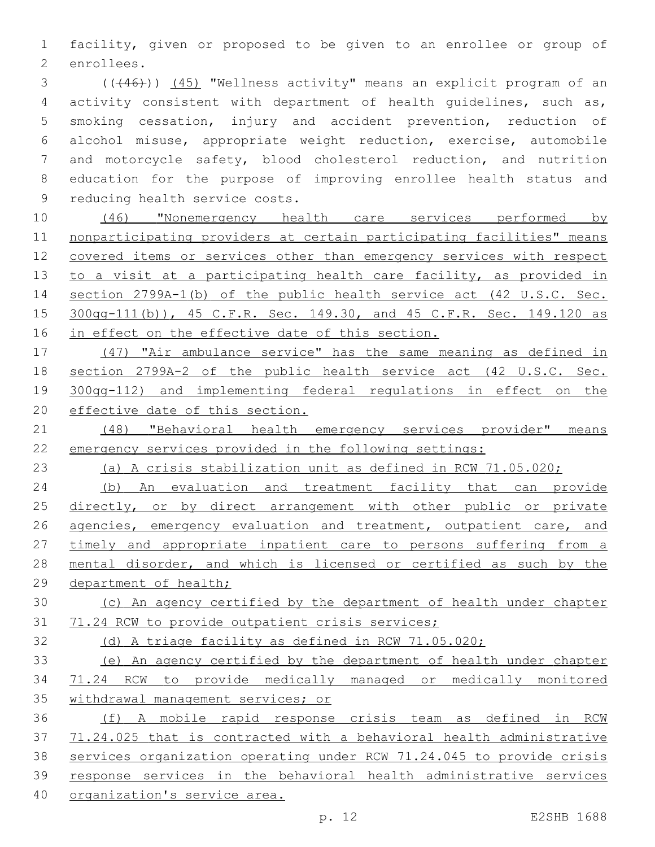facility, given or proposed to be given to an enrollee or group of 2 enrollees.

3 (((46))) (45) "Wellness activity" means an explicit program of an activity consistent with department of health guidelines, such as, smoking cessation, injury and accident prevention, reduction of alcohol misuse, appropriate weight reduction, exercise, automobile and motorcycle safety, blood cholesterol reduction, and nutrition education for the purpose of improving enrollee health status and 9 reducing health service costs.

 (46) "Nonemergency health care services performed by nonparticipating providers at certain participating facilities" means covered items or services other than emergency services with respect 13 to a visit at a participating health care facility, as provided in section 2799A-1(b) of the public health service act (42 U.S.C. Sec. 300gg-111(b)), 45 C.F.R. Sec. 149.30, and 45 C.F.R. Sec. 149.120 as 16 in effect on the effective date of this section.

 (47) "Air ambulance service" has the same meaning as defined in section 2799A-2 of the public health service act (42 U.S.C. Sec. 300gg-112) and implementing federal regulations in effect on the effective date of this section.

 (48) "Behavioral health emergency services provider" means emergency services provided in the following settings:

(a) A crisis stabilization unit as defined in RCW 71.05.020;

 (b) An evaluation and treatment facility that can provide 25 directly, or by direct arrangement with other public or private 26 agencies, emergency evaluation and treatment, outpatient care, and 27 timely and appropriate inpatient care to persons suffering from a mental disorder, and which is licensed or certified as such by the 29 department of health;

 (c) An agency certified by the department of health under chapter 71.24 RCW to provide outpatient crisis services;

(d) A triage facility as defined in RCW 71.05.020;

 (e) An agency certified by the department of health under chapter 71.24 RCW to provide medically managed or medically monitored withdrawal management services; or

 (f) A mobile rapid response crisis team as defined in RCW 71.24.025 that is contracted with a behavioral health administrative services organization operating under RCW 71.24.045 to provide crisis response services in the behavioral health administrative services organization's service area.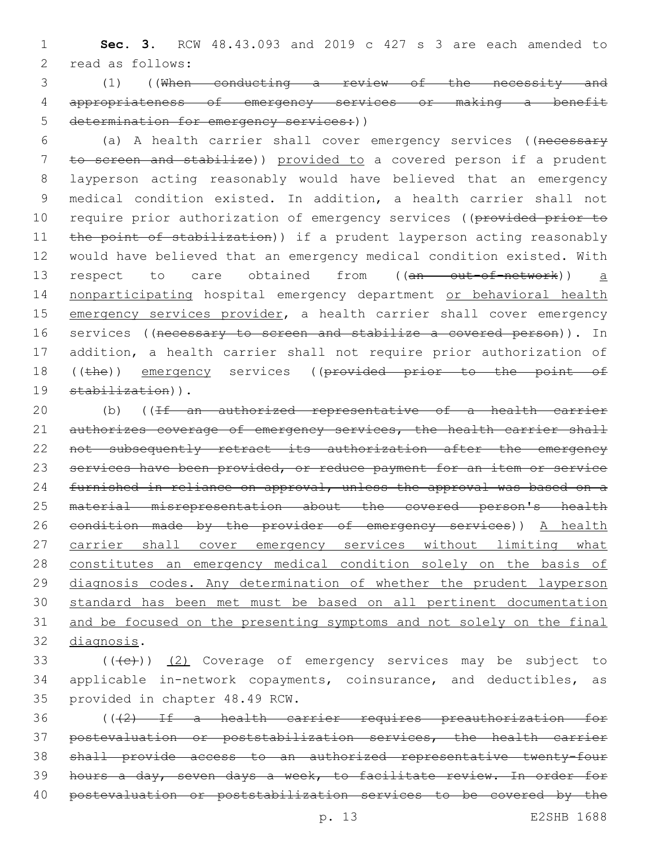1 **Sec. 3.** RCW 48.43.093 and 2019 c 427 s 3 are each amended to 2 read as follows:

3 (1) ((When conducting a review of the necessity and 4 appropriateness of emergency services or making a benefit 5 determination for emergency services: ()

6 (a) A health carrier shall cover emergency services ((necessary 7 to screen and stabilize)) provided to a covered person if a prudent 8 layperson acting reasonably would have believed that an emergency 9 medical condition existed. In addition, a health carrier shall not 10 require prior authorization of emergency services ((provided prior to 11 the point of stabilization)) if a prudent layperson acting reasonably 12 would have believed that an emergency medical condition existed. With 13 respect to care obtained from ((an out-of-network)) a 14 nonparticipating hospital emergency department or behavioral health 15 emergency services provider, a health carrier shall cover emergency 16 services ((necessary to screen and stabilize a covered person)). In 17 addition, a health carrier shall not require prior authorization of 18 ((the)) emergency services ((provided prior to the point of 19 stabilization)).

20 (b) ((If an authorized representative of a health carrier 21 authorizes coverage of emergency services, the health carrier shall 22 not subsequently retract its authorization after the emergency 23 services have been provided, or reduce payment for an item or service 24 furnished in reliance on approval, unless the approval was based on a 25 material misrepresentation about the covered person's health 26 condition made by the provider of emergency services)) A health 27 carrier shall cover emergency services without limiting what 28 constitutes an emergency medical condition solely on the basis of 29 diagnosis codes. Any determination of whether the prudent layperson 30 standard has been met must be based on all pertinent documentation 31 and be focused on the presenting symptoms and not solely on the final 32 diagnosis.

 $($  ( $($   $($   $($   $($   $))$   $($   $2)$  Coverage of emergency services may be subject to 34 applicable in-network copayments, coinsurance, and deductibles, as 35 provided in chapter 48.49 RCW.

 (((2) If a health carrier requires preauthorization for postevaluation or poststabilization services, the health carrier shall provide access to an authorized representative twenty-four hours a day, seven days a week, to facilitate review. In order for postevaluation or poststabilization services to be covered by the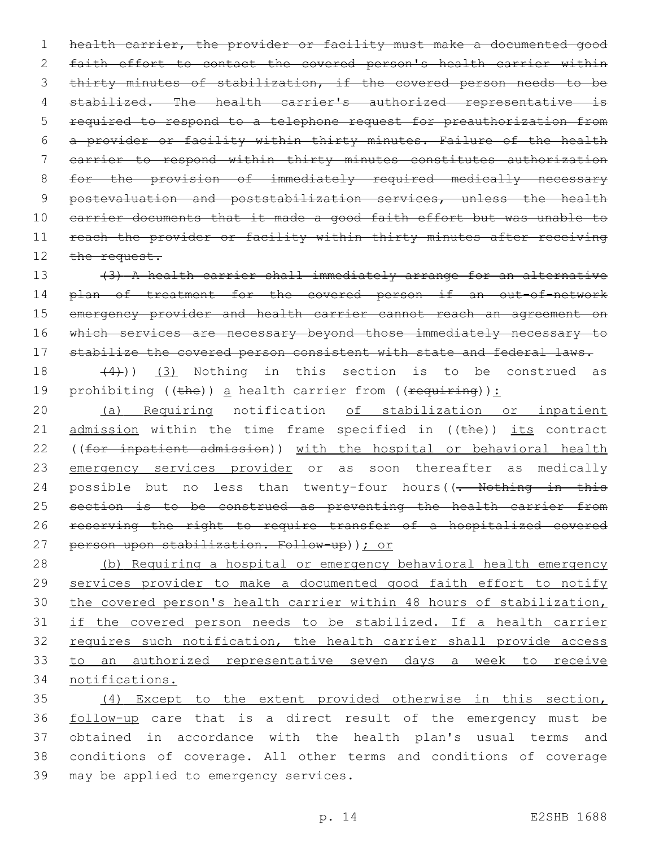1 health carrier, the provider or facility must make a documented good 2 faith effort to contact the covered person's health carrier within 3 thirty minutes of stabilization, if the covered person needs to be 4 stabilized. The health carrier's authorized representative is 5 required to respond to a telephone request for preauthorization from 6 a provider or facility within thirty minutes. Failure of the health 7 carrier to respond within thirty minutes constitutes authorization 8 for the provision of immediately required medically necessary 9 postevaluation and poststabilization services, unless the health 10 carrier documents that it made a good faith effort but was unable to 11 reach the provider or facility within thirty minutes after receiving 12 the request.

13 (3) A health carrier shall immediately arrange for an alternative 14 plan of treatment for the covered person if an out-of-network 15 emergency provider and health carrier cannot reach an agreement on 16 which services are necessary beyond those immediately necessary to 17 stabilize the covered person consistent with state and federal laws.

18  $(4)$ ))  $(3)$  Nothing in this section is to be construed as 19 prohibiting ((the)) a health carrier from (( $\frac{1}{2}$ ):

20 (a) Requiring notification of stabilization or inpatient 21  $\alpha$  admission within the time frame specified in ((the)) its contract 22 ((for inpatient admission)) with the hospital or behavioral health 23 emergency services provider or as soon thereafter as medically 24 possible but no less than twenty-four hours((- Nothing in this 25 section is to be construed as preventing the health carrier from 26 reserving the right to require transfer of a hospitalized covered 27 person upon stabilization. Follow-up)); or

 (b) Requiring a hospital or emergency behavioral health emergency 29 services provider to make a documented good faith effort to notify the covered person's health carrier within 48 hours of stabilization, if the covered person needs to be stabilized. If a health carrier 32 requires such notification, the health carrier shall provide access to an authorized representative seven days a week to receive notifications.

 (4) Except to the extent provided otherwise in this section, follow-up care that is a direct result of the emergency must be obtained in accordance with the health plan's usual terms and conditions of coverage. All other terms and conditions of coverage 39 may be applied to emergency services.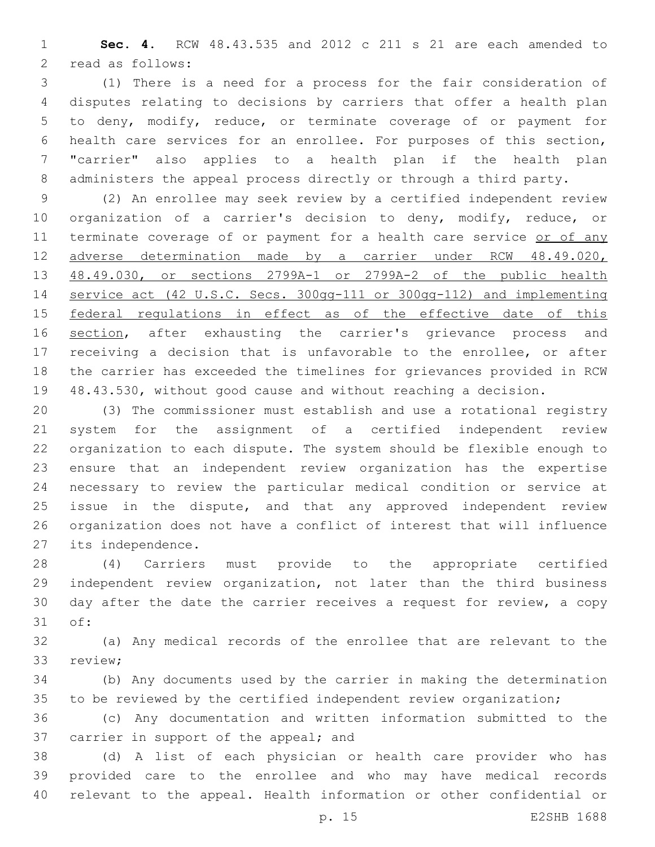**Sec. 4.** RCW 48.43.535 and 2012 c 211 s 21 are each amended to 2 read as follows:

 (1) There is a need for a process for the fair consideration of disputes relating to decisions by carriers that offer a health plan to deny, modify, reduce, or terminate coverage of or payment for health care services for an enrollee. For purposes of this section, "carrier" also applies to a health plan if the health plan administers the appeal process directly or through a third party.

 (2) An enrollee may seek review by a certified independent review organization of a carrier's decision to deny, modify, reduce, or 11 terminate coverage of or payment for a health care service or of any adverse determination made by a carrier under RCW 48.49.020, 48.49.030, or sections 2799A-1 or 2799A-2 of the public health service act (42 U.S.C. Secs. 300gg-111 or 300gg-112) and implementing 15 federal regulations in effect as of the effective date of this 16 section, after exhausting the carrier's grievance process and receiving a decision that is unfavorable to the enrollee, or after the carrier has exceeded the timelines for grievances provided in RCW 48.43.530, without good cause and without reaching a decision.

 (3) The commissioner must establish and use a rotational registry system for the assignment of a certified independent review organization to each dispute. The system should be flexible enough to ensure that an independent review organization has the expertise necessary to review the particular medical condition or service at issue in the dispute, and that any approved independent review organization does not have a conflict of interest that will influence 27 its independence.

 (4) Carriers must provide to the appropriate certified independent review organization, not later than the third business day after the date the carrier receives a request for review, a copy 31 of:

 (a) Any medical records of the enrollee that are relevant to the 33 review;

 (b) Any documents used by the carrier in making the determination 35 to be reviewed by the certified independent review organization;

 (c) Any documentation and written information submitted to the 37 carrier in support of the appeal; and

 (d) A list of each physician or health care provider who has provided care to the enrollee and who may have medical records relevant to the appeal. Health information or other confidential or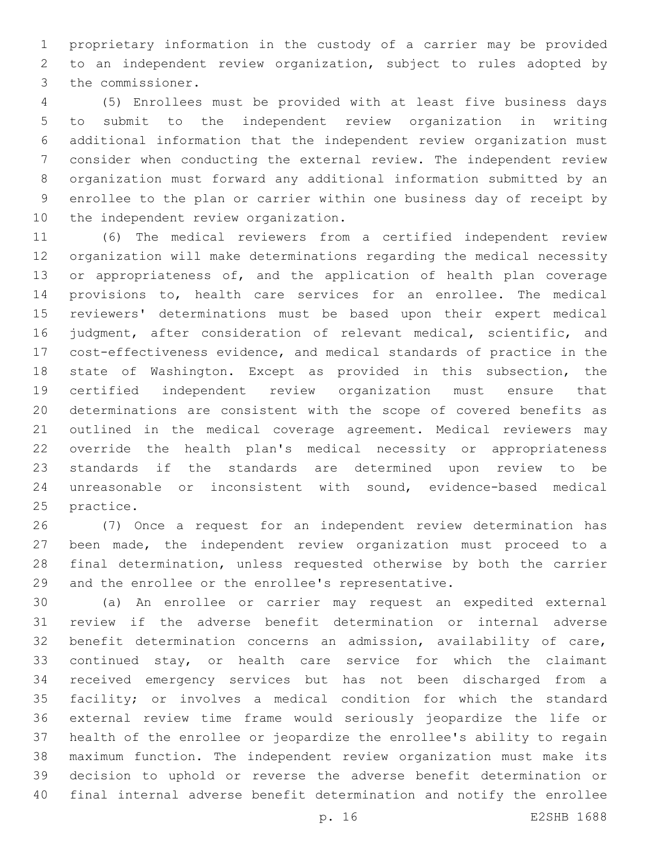proprietary information in the custody of a carrier may be provided to an independent review organization, subject to rules adopted by 3 the commissioner.

 (5) Enrollees must be provided with at least five business days to submit to the independent review organization in writing additional information that the independent review organization must consider when conducting the external review. The independent review organization must forward any additional information submitted by an enrollee to the plan or carrier within one business day of receipt by 10 the independent review organization.

 (6) The medical reviewers from a certified independent review organization will make determinations regarding the medical necessity 13 or appropriateness of, and the application of health plan coverage provisions to, health care services for an enrollee. The medical reviewers' determinations must be based upon their expert medical judgment, after consideration of relevant medical, scientific, and cost-effectiveness evidence, and medical standards of practice in the state of Washington. Except as provided in this subsection, the certified independent review organization must ensure that determinations are consistent with the scope of covered benefits as outlined in the medical coverage agreement. Medical reviewers may override the health plan's medical necessity or appropriateness standards if the standards are determined upon review to be unreasonable or inconsistent with sound, evidence-based medical 25 practice.

 (7) Once a request for an independent review determination has been made, the independent review organization must proceed to a final determination, unless requested otherwise by both the carrier and the enrollee or the enrollee's representative.

 (a) An enrollee or carrier may request an expedited external review if the adverse benefit determination or internal adverse benefit determination concerns an admission, availability of care, 33 continued stay, or health care service for which the claimant received emergency services but has not been discharged from a facility; or involves a medical condition for which the standard external review time frame would seriously jeopardize the life or health of the enrollee or jeopardize the enrollee's ability to regain maximum function. The independent review organization must make its decision to uphold or reverse the adverse benefit determination or final internal adverse benefit determination and notify the enrollee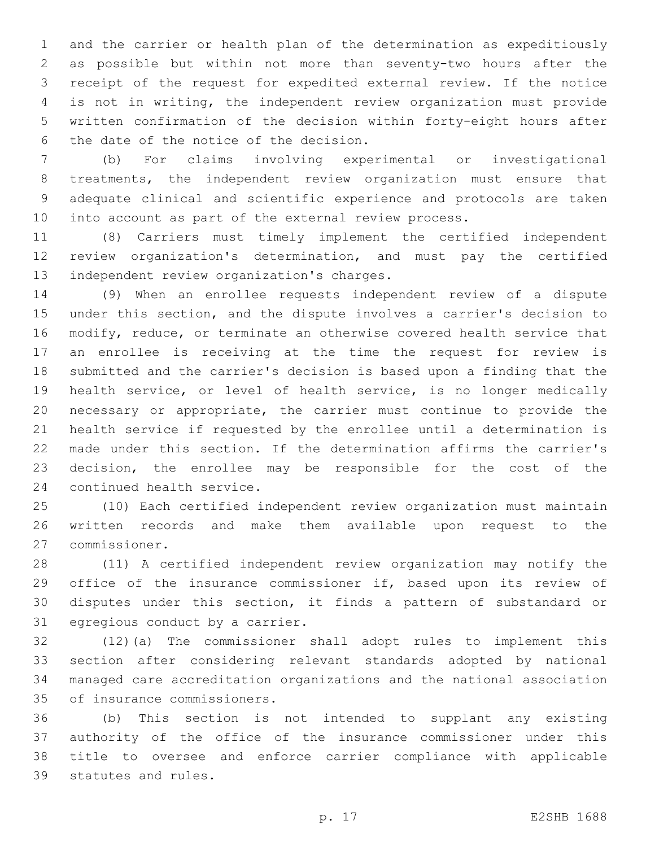and the carrier or health plan of the determination as expeditiously as possible but within not more than seventy-two hours after the receipt of the request for expedited external review. If the notice is not in writing, the independent review organization must provide written confirmation of the decision within forty-eight hours after 6 the date of the notice of the decision.

 (b) For claims involving experimental or investigational treatments, the independent review organization must ensure that adequate clinical and scientific experience and protocols are taken into account as part of the external review process.

 (8) Carriers must timely implement the certified independent review organization's determination, and must pay the certified 13 independent review organization's charges.

 (9) When an enrollee requests independent review of a dispute under this section, and the dispute involves a carrier's decision to modify, reduce, or terminate an otherwise covered health service that an enrollee is receiving at the time the request for review is submitted and the carrier's decision is based upon a finding that the health service, or level of health service, is no longer medically necessary or appropriate, the carrier must continue to provide the health service if requested by the enrollee until a determination is made under this section. If the determination affirms the carrier's decision, the enrollee may be responsible for the cost of the 24 continued health service.

 (10) Each certified independent review organization must maintain written records and make them available upon request to the commissioner.27

 (11) A certified independent review organization may notify the 29 office of the insurance commissioner if, based upon its review of disputes under this section, it finds a pattern of substandard or 31 egregious conduct by a carrier.

 (12)(a) The commissioner shall adopt rules to implement this section after considering relevant standards adopted by national managed care accreditation organizations and the national association 35 of insurance commissioners.

 (b) This section is not intended to supplant any existing authority of the office of the insurance commissioner under this title to oversee and enforce carrier compliance with applicable 39 statutes and rules.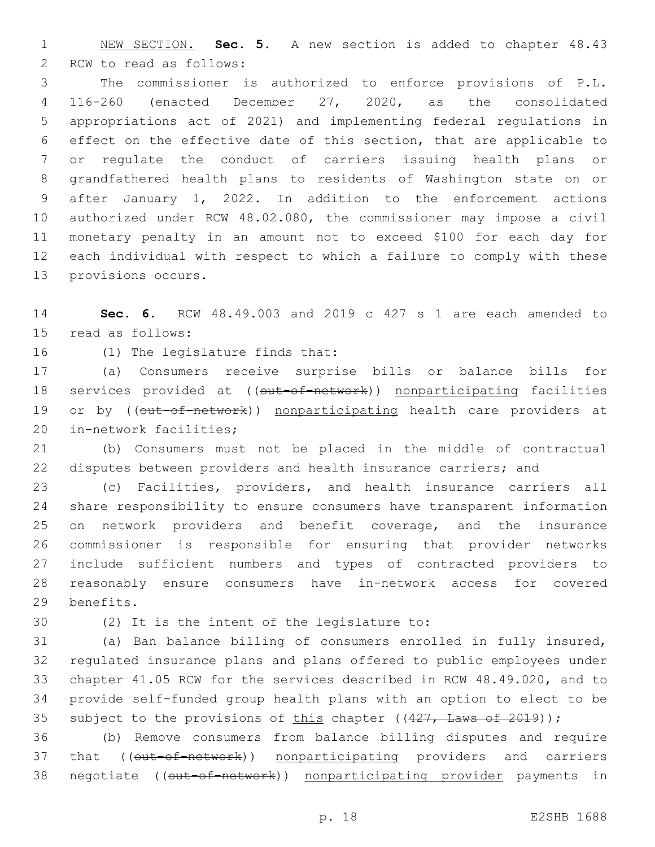NEW SECTION. **Sec. 5.** A new section is added to chapter 48.43 2 RCW to read as follows:

 The commissioner is authorized to enforce provisions of P.L. 116-260 (enacted December 27, 2020, as the consolidated appropriations act of 2021) and implementing federal regulations in effect on the effective date of this section, that are applicable to or regulate the conduct of carriers issuing health plans or grandfathered health plans to residents of Washington state on or after January 1, 2022. In addition to the enforcement actions authorized under RCW 48.02.080, the commissioner may impose a civil monetary penalty in an amount not to exceed \$100 for each day for each individual with respect to which a failure to comply with these 13 provisions occurs.

 **Sec. 6.** RCW 48.49.003 and 2019 c 427 s 1 are each amended to 15 read as follows:

16 (1) The legislature finds that:

 (a) Consumers receive surprise bills or balance bills for 18 services provided at ((out-of-network)) nonparticipating facilities 19 or by ((out-of-network)) nonparticipating health care providers at 20 in-network facilities;

 (b) Consumers must not be placed in the middle of contractual disputes between providers and health insurance carriers; and

 (c) Facilities, providers, and health insurance carriers all share responsibility to ensure consumers have transparent information on network providers and benefit coverage, and the insurance commissioner is responsible for ensuring that provider networks include sufficient numbers and types of contracted providers to reasonably ensure consumers have in-network access for covered 29 benefits.

30 (2) It is the intent of the legislature to:

 (a) Ban balance billing of consumers enrolled in fully insured, regulated insurance plans and plans offered to public employees under chapter 41.05 RCW for the services described in RCW 48.49.020, and to provide self-funded group health plans with an option to elect to be 35 subject to the provisions of this chapter  $((427, \text{ Laws of } 2019))$ ;

 (b) Remove consumers from balance billing disputes and require 37 that (( $\overline{\text{out-of-network}}$ ) nonparticipating providers and carriers 38 negotiate ((out-of-network)) nonparticipating provider payments in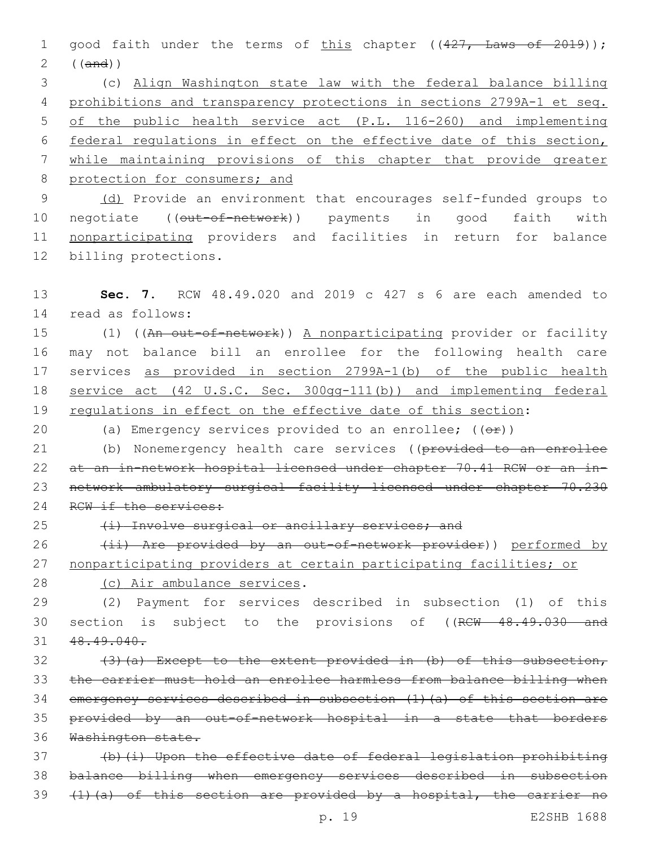1 good faith under the terms of this chapter ((427, Laws of 2019)); 2 ((and))

 (c) Align Washington state law with the federal balance billing prohibitions and transparency protections in sections 2799A-1 et seq. of the public health service act (P.L. 116-260) and implementing federal regulations in effect on the effective date of this section, while maintaining provisions of this chapter that provide greater 8 protection for consumers; and

9 (d) Provide an environment that encourages self-funded groups to 10 negotiate ((out-of-network)) payments in good faith with 11 nonparticipating providers and facilities in return for balance 12 billing protections.

13 **Sec. 7.** RCW 48.49.020 and 2019 c 427 s 6 are each amended to 14 read as follows:

15 (1) ((An out-of-network)) A nonparticipating provider or facility 16 may not balance bill an enrollee for the following health care 17 services as provided in section 2799A-1(b) of the public health 18 service act (42 U.S.C. Sec. 300gg-111(b)) and implementing federal 19 requlations in effect on the effective date of this section:

20 (a) Emergency services provided to an enrollee;  $($   $($  $\Theta$  $\mathbf{r}$  $))$ 

21 (b) Nonemergency health care services ((provided to an enrollee 22 at an in-network hospital licensed under chapter 70.41 RCW or an in-23 network ambulatory surgical facility licensed under chapter 70.230 24 RCW if the services:

25 (i) Involve surgical or ancillary services; and

26 (ii) Are provided by an out-of-network provider)) performed by 27 nonparticipating providers at certain participating facilities; or

28 (c) Air ambulance services.

29 (2) Payment for services described in subsection (1) of this 30 section is subject to the provisions of ((RCW 48.49.030 and 31 48.49.040.

32 (3)(a) Except to the extent provided in (b) of this subsection, the carrier must hold an enrollee harmless from balance billing when emergency services described in subsection (1)(a) of this section are provided by an out-of-network hospital in a state that borders Washington state.

37 (b)(i) Upon the effective date of federal legislation prohibiting 38 balance billing when emergency services described in subsection 39 (1)(a) of this section are provided by a hospital, the carrier no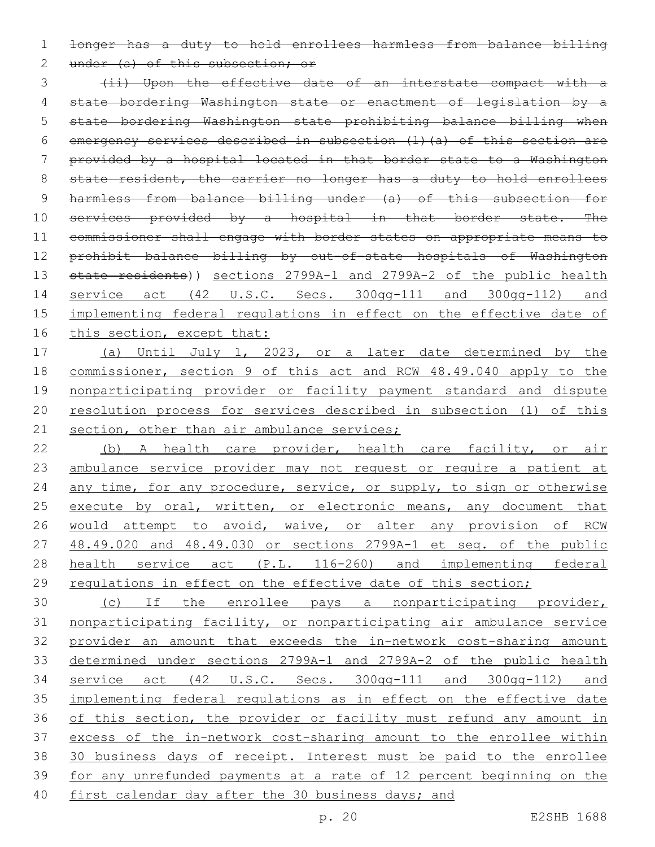1 longer has a duty to hold enrollees harmless from balance billing

2 under (a) of this subsection; or

3 (ii) Upon the effective date of an interstate compact with a 4 state bordering Washington state or enactment of legislation by a 5 state bordering Washington state prohibiting balance billing when 6 emergency services described in subsection (1)(a) of this section are 7 provided by a hospital located in that border state to a Washington 8 state resident, the carrier no longer has a duty to hold enrollees 9 harmless from balance billing under (a) of this subsection for 10 services provided by a hospital in that border state. The 11 commissioner shall engage with border states on appropriate means to 12 prohibit balance billing by out-of-state hospitals of Washington 13 state residents)) sections 2799A-1 and 2799A-2 of the public health 14 service act (42 U.S.C. Secs. 300gg-111 and 300gg-112) and 15 implementing federal regulations in effect on the effective date of 16 this section, except that:

 (a) Until July 1, 2023, or a later date determined by the commissioner, section 9 of this act and RCW 48.49.040 apply to the nonparticipating provider or facility payment standard and dispute resolution process for services described in subsection (1) of this 21 section, other than air ambulance services;

22 (b) A health care provider, health care facility, or air 23 ambulance service provider may not request or require a patient at 24 any time, for any procedure, service, or supply, to sign or otherwise 25 execute by oral, written, or electronic means, any document that 26 would attempt to avoid, waive, or alter any provision of RCW 27 48.49.020 and 48.49.030 or sections 2799A-1 et seq. of the public 28 health service act (P.L. 116-260) and implementing federal 29 regulations in effect on the effective date of this section;

 (c) If the enrollee pays a nonparticipating provider, nonparticipating facility, or nonparticipating air ambulance service provider an amount that exceeds the in-network cost-sharing amount determined under sections 2799A-1 and 2799A-2 of the public health service act (42 U.S.C. Secs. 300gg-111 and 300gg-112) and implementing federal regulations as in effect on the effective date 36 of this section, the provider or facility must refund any amount in excess of the in-network cost-sharing amount to the enrollee within 30 business days of receipt. Interest must be paid to the enrollee for any unrefunded payments at a rate of 12 percent beginning on the 40 first calendar day after the 30 business days; and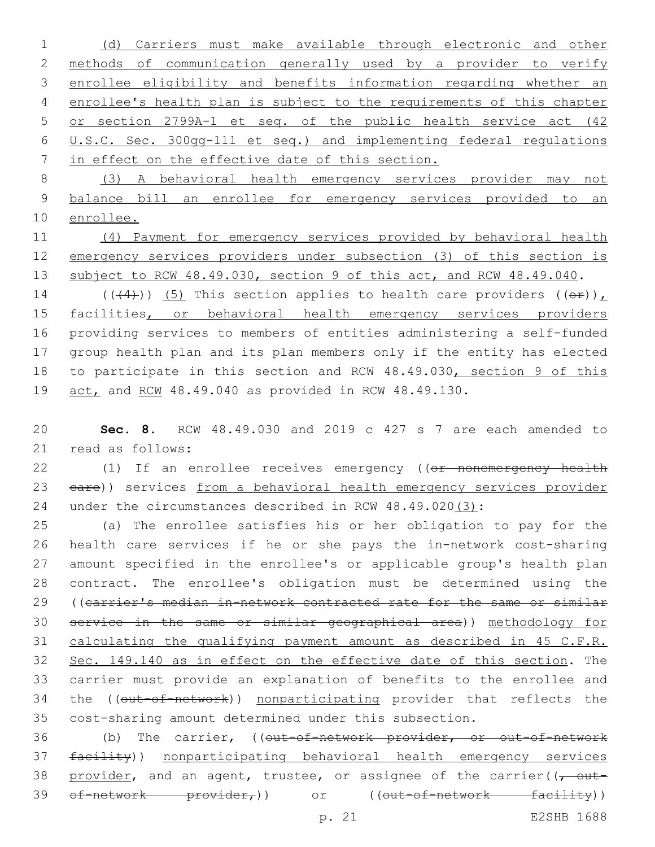(d) Carriers must make available through electronic and other methods of communication generally used by a provider to verify enrollee eligibility and benefits information regarding whether an enrollee's health plan is subject to the requirements of this chapter or section 2799A-1 et seq. of the public health service act (42 U.S.C. Sec. 300gg-111 et seq.) and implementing federal regulations in effect on the effective date of this section.

 (3) A behavioral health emergency services provider may not balance bill an enrollee for emergency services provided to an enrollee.

 (4) Payment for emergency services provided by behavioral health emergency services providers under subsection (3) of this section is 13 subject to RCW 48.49.030, section 9 of this act, and RCW 48.49.040.

14 (( $(4)$ )) (5) This section applies to health care providers ( $(e^E)$ ), 15 facilities, or behavioral health emergency services providers providing services to members of entities administering a self-funded group health plan and its plan members only if the entity has elected 18 to participate in this section and RCW 48.49.030, section 9 of this act, and RCW 48.49.040 as provided in RCW 48.49.130.

 **Sec. 8.** RCW 48.49.030 and 2019 c 427 s 7 are each amended to 21 read as follows:

22 (1) If an enrollee receives emergency ((or nonemergency health 23 eare)) services from a behavioral health emergency services provider under the circumstances described in RCW 48.49.020(3):

 (a) The enrollee satisfies his or her obligation to pay for the health care services if he or she pays the in-network cost-sharing amount specified in the enrollee's or applicable group's health plan contract. The enrollee's obligation must be determined using the ((carrier's median in-network contracted rate for the same or similar service in the same or similar geographical area)) methodology for calculating the qualifying payment amount as described in 45 C.F.R. Sec. 149.140 as in effect on the effective date of this section. The carrier must provide an explanation of benefits to the enrollee and 34 the ((out-of-network)) nonparticipating provider that reflects the cost-sharing amount determined under this subsection.

36 (b) The carrier, ((out-of-network provider, or out-of-network facility)) nonparticipating behavioral health emergency services 38 provider, and an agent, trustee, or assignee of the carrier( $(-$  out-39 of-network provider,)) or ((out-of-network facility))

p. 21 E2SHB 1688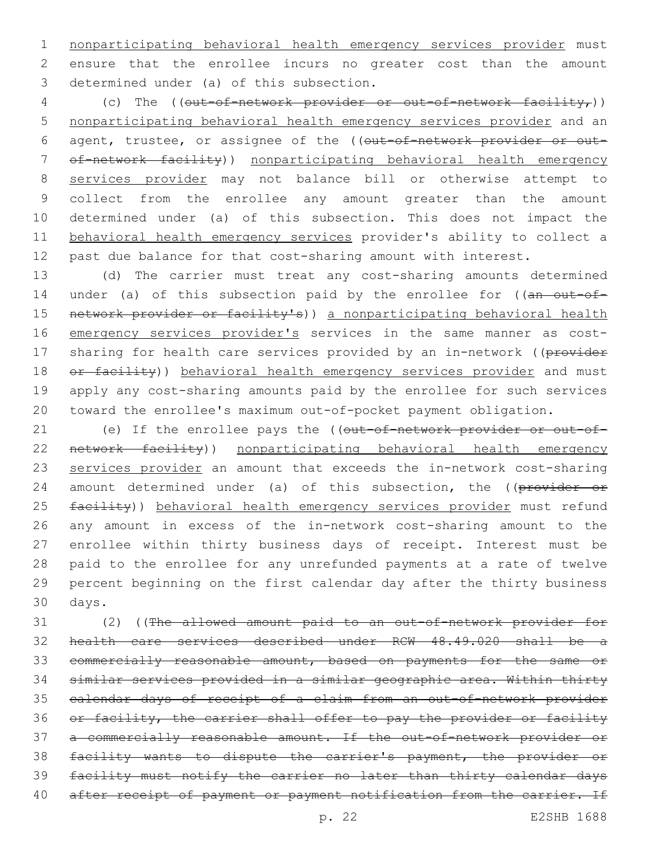nonparticipating behavioral health emergency services provider must ensure that the enrollee incurs no greater cost than the amount 3 determined under (a) of this subsection.

4 (c) The ((out-of-network provider or out-of-network facility,)) nonparticipating behavioral health emergency services provider and an 6 agent, trustee, or assignee of the ((out-of-network provider or out- of-network facility)) nonparticipating behavioral health emergency services provider may not balance bill or otherwise attempt to collect from the enrollee any amount greater than the amount determined under (a) of this subsection. This does not impact the behavioral health emergency services provider's ability to collect a past due balance for that cost-sharing amount with interest.

 (d) The carrier must treat any cost-sharing amounts determined 14 under (a) of this subsection paid by the enrollee for ((an out-of-15 network provider or facility's)) a nonparticipating behavioral health emergency services provider's services in the same manner as cost-17 sharing for health care services provided by an in-network ((provider 18 or facility)) behavioral health emergency services provider and must apply any cost-sharing amounts paid by the enrollee for such services toward the enrollee's maximum out-of-pocket payment obligation.

21 (e) If the enrollee pays the ((out-of-network provider or out-of- network facility)) nonparticipating behavioral health emergency services provider an amount that exceeds the in-network cost-sharing 24 amount determined under (a) of this subsection, the ((provider or 25 facility)) behavioral health emergency services provider must refund any amount in excess of the in-network cost-sharing amount to the enrollee within thirty business days of receipt. Interest must be paid to the enrollee for any unrefunded payments at a rate of twelve percent beginning on the first calendar day after the thirty business 30 days.

 (2) ((The allowed amount paid to an out-of-network provider for health care services described under RCW 48.49.020 shall be a commercially reasonable amount, based on payments for the same or similar services provided in a similar geographic area. Within thirty calendar days of receipt of a claim from an out-of-network provider 36 or facility, the carrier shall offer to pay the provider or facility a commercially reasonable amount. If the out-of-network provider or facility wants to dispute the carrier's payment, the provider or facility must notify the carrier no later than thirty calendar days 40 after receipt of payment or payment notification from the carrier. If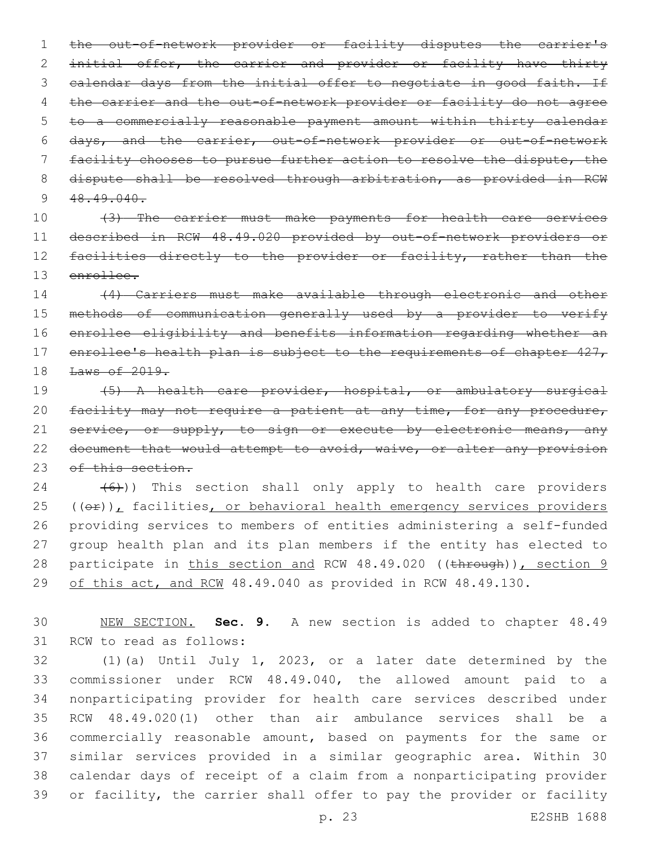the out-of-network provider or facility disputes the carrier's initial offer, the carrier and provider or facility have thirty 3 calendar days from the initial offer to negotiate in good faith. If 4 the carrier and the out-of-network provider or facility do not agree to a commercially reasonable payment amount within thirty calendar days, and the carrier, out-of-network provider or out-of-network facility chooses to pursue further action to resolve the dispute, the 8 dispute shall be resolved through arbitration, as provided in RCW  $48.49.040$ .

 (3) The carrier must make payments for health care services described in RCW 48.49.020 provided by out-of-network providers or 12 facilities directly to the provider or facility, rather than the enrollee.

 (4) Carriers must make available through electronic and other methods of communication generally used by a provider to verify enrollee eligibility and benefits information regarding whether an 17 enrollee's health plan is subject to the requirements of chapter 427, Laws of 2019.

 (5) A health care provider, hospital, or ambulatory surgical 20 facility may not require a patient at any time, for any procedure, 21 service, or supply, to sign or execute by electronic means, any 22 document that would attempt to avoid, waive, or alter any provision 23 of this section.

  $(6)$ )) This section shall only apply to health care providers  $(40)$ , facilities, or behavioral health emergency services providers providing services to members of entities administering a self-funded group health plan and its plan members if the entity has elected to 28 participate in this section and RCW 48.49.020 ((through)), section 9 29 of this act, and RCW 48.49.040 as provided in RCW 48.49.130.

 NEW SECTION. **Sec. 9.** A new section is added to chapter 48.49 31 RCW to read as follows:

 (1)(a) Until July 1, 2023, or a later date determined by the commissioner under RCW 48.49.040, the allowed amount paid to a nonparticipating provider for health care services described under RCW 48.49.020(1) other than air ambulance services shall be a commercially reasonable amount, based on payments for the same or similar services provided in a similar geographic area. Within 30 calendar days of receipt of a claim from a nonparticipating provider or facility, the carrier shall offer to pay the provider or facility

p. 23 E2SHB 1688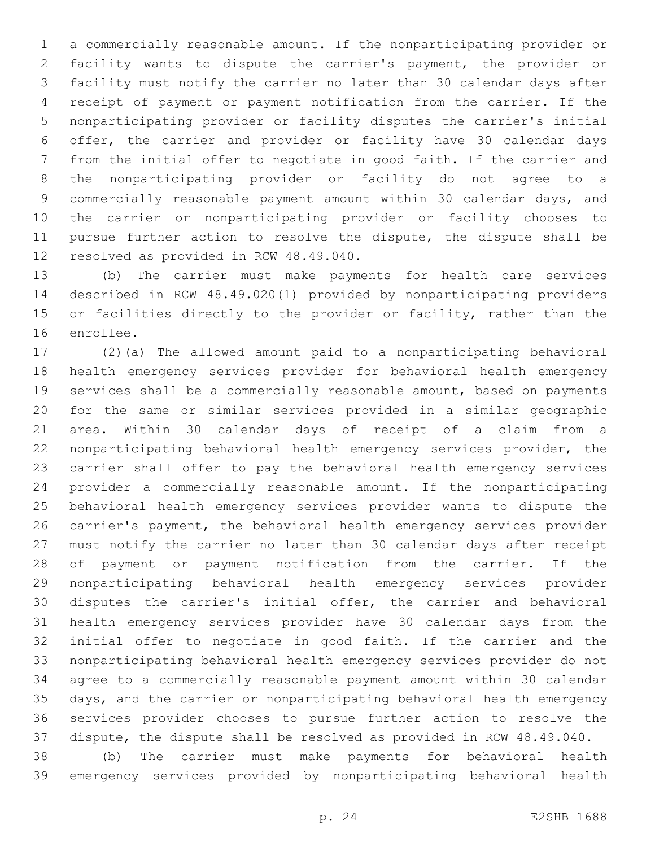a commercially reasonable amount. If the nonparticipating provider or facility wants to dispute the carrier's payment, the provider or facility must notify the carrier no later than 30 calendar days after receipt of payment or payment notification from the carrier. If the nonparticipating provider or facility disputes the carrier's initial offer, the carrier and provider or facility have 30 calendar days from the initial offer to negotiate in good faith. If the carrier and the nonparticipating provider or facility do not agree to a commercially reasonable payment amount within 30 calendar days, and the carrier or nonparticipating provider or facility chooses to pursue further action to resolve the dispute, the dispute shall be 12 resolved as provided in RCW 48.49.040.

 (b) The carrier must make payments for health care services described in RCW 48.49.020(1) provided by nonparticipating providers or facilities directly to the provider or facility, rather than the 16 enrollee.

 (2)(a) The allowed amount paid to a nonparticipating behavioral health emergency services provider for behavioral health emergency services shall be a commercially reasonable amount, based on payments for the same or similar services provided in a similar geographic area. Within 30 calendar days of receipt of a claim from a nonparticipating behavioral health emergency services provider, the carrier shall offer to pay the behavioral health emergency services provider a commercially reasonable amount. If the nonparticipating behavioral health emergency services provider wants to dispute the carrier's payment, the behavioral health emergency services provider must notify the carrier no later than 30 calendar days after receipt of payment or payment notification from the carrier. If the nonparticipating behavioral health emergency services provider disputes the carrier's initial offer, the carrier and behavioral health emergency services provider have 30 calendar days from the initial offer to negotiate in good faith. If the carrier and the nonparticipating behavioral health emergency services provider do not agree to a commercially reasonable payment amount within 30 calendar days, and the carrier or nonparticipating behavioral health emergency services provider chooses to pursue further action to resolve the dispute, the dispute shall be resolved as provided in RCW 48.49.040.

 (b) The carrier must make payments for behavioral health emergency services provided by nonparticipating behavioral health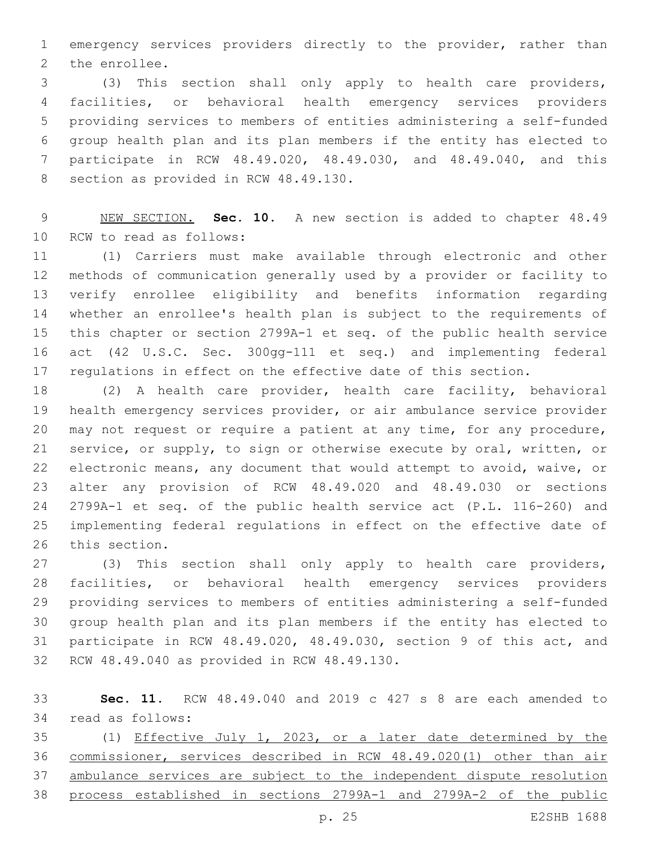emergency services providers directly to the provider, rather than 2 the enrollee.

 (3) This section shall only apply to health care providers, facilities, or behavioral health emergency services providers providing services to members of entities administering a self-funded group health plan and its plan members if the entity has elected to participate in RCW 48.49.020, 48.49.030, and 48.49.040, and this 8 section as provided in RCW 48.49.130.

 NEW SECTION. **Sec. 10.** A new section is added to chapter 48.49 10 RCW to read as follows:

 (1) Carriers must make available through electronic and other methods of communication generally used by a provider or facility to verify enrollee eligibility and benefits information regarding whether an enrollee's health plan is subject to the requirements of this chapter or section 2799A-1 et seq. of the public health service act (42 U.S.C. Sec. 300gg-111 et seq.) and implementing federal regulations in effect on the effective date of this section.

 (2) A health care provider, health care facility, behavioral health emergency services provider, or air ambulance service provider may not request or require a patient at any time, for any procedure, service, or supply, to sign or otherwise execute by oral, written, or electronic means, any document that would attempt to avoid, waive, or alter any provision of RCW 48.49.020 and 48.49.030 or sections 2799A-1 et seq. of the public health service act (P.L. 116-260) and implementing federal regulations in effect on the effective date of 26 this section.

 (3) This section shall only apply to health care providers, facilities, or behavioral health emergency services providers providing services to members of entities administering a self-funded group health plan and its plan members if the entity has elected to participate in RCW 48.49.020, 48.49.030, section 9 of this act, and 32 RCW 48.49.040 as provided in RCW 48.49.130.

 **Sec. 11.** RCW 48.49.040 and 2019 c 427 s 8 are each amended to 34 read as follows:

 (1) Effective July 1, 2023, or a later date determined by the commissioner, services described in RCW 48.49.020(1) other than air ambulance services are subject to the independent dispute resolution process established in sections 2799A-1 and 2799A-2 of the public

p. 25 E2SHB 1688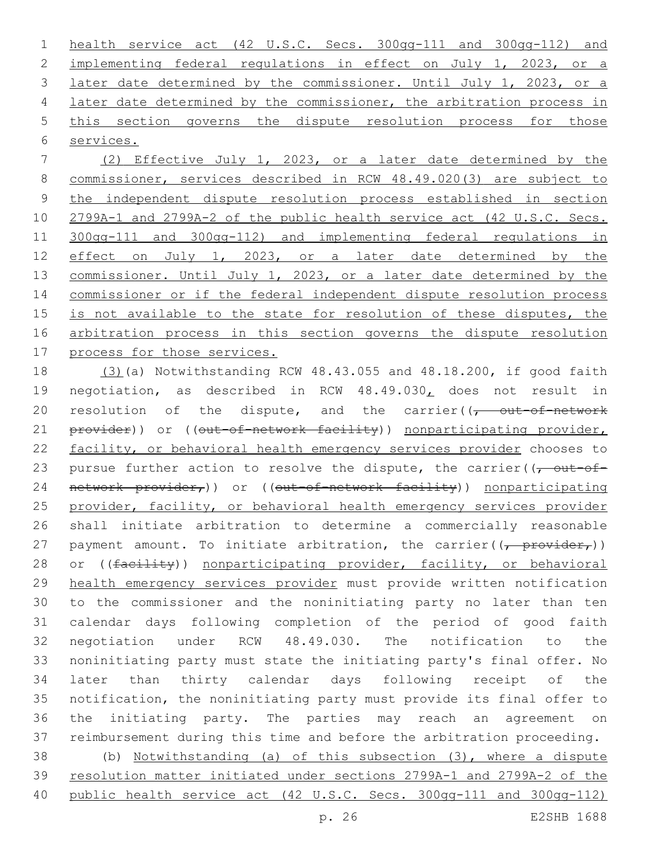health service act (42 U.S.C. Secs. 300gg-111 and 300gg-112) and implementing federal regulations in effect on July 1, 2023, or a 3 later date determined by the commissioner. Until July 1, 2023, or a 4 later date determined by the commissioner, the arbitration process in this section governs the dispute resolution process for those services.

 (2) Effective July 1, 2023, or a later date determined by the commissioner, services described in RCW 48.49.020(3) are subject to the independent dispute resolution process established in section 2799A-1 and 2799A-2 of the public health service act (42 U.S.C. Secs. 300gg-111 and 300gg-112) and implementing federal regulations in effect on July 1, 2023, or a later date determined by the commissioner. Until July 1, 2023, or a later date determined by the commissioner or if the federal independent dispute resolution process is not available to the state for resolution of these disputes, the arbitration process in this section governs the dispute resolution process for those services.

 (3)(a) Notwithstanding RCW 48.43.055 and 48.18.200, if good faith negotiation, as described in RCW 48.49.030, does not result in 20 resolution of the dispute, and the carrier( $\sqrt{t}$  out-of-network 21 provider)) or ((out-of-network facility)) nonparticipating provider, facility, or behavioral health emergency services provider chooses to 23 pursue further action to resolve the dispute, the carrier( $\sqrt{\frac{1}{\sqrt{1-\frac{1}{n}}}$ 24 network provider,)) or ((out-of-network facility)) nonparticipating 25 provider, facility, or behavioral health emergency services provider shall initiate arbitration to determine a commercially reasonable 27 payment amount. To initiate arbitration, the carrier( $\frac{1}{(r - \text{provider}_r)}$ ) 28 or ((facility)) nonparticipating provider, facility, or behavioral health emergency services provider must provide written notification to the commissioner and the noninitiating party no later than ten calendar days following completion of the period of good faith negotiation under RCW 48.49.030. The notification to the noninitiating party must state the initiating party's final offer. No later than thirty calendar days following receipt of the notification, the noninitiating party must provide its final offer to the initiating party. The parties may reach an agreement on reimbursement during this time and before the arbitration proceeding. (b) Notwithstanding (a) of this subsection (3), where a dispute

 resolution matter initiated under sections 2799A-1 and 2799A-2 of the public health service act (42 U.S.C. Secs. 300gg-111 and 300gg-112)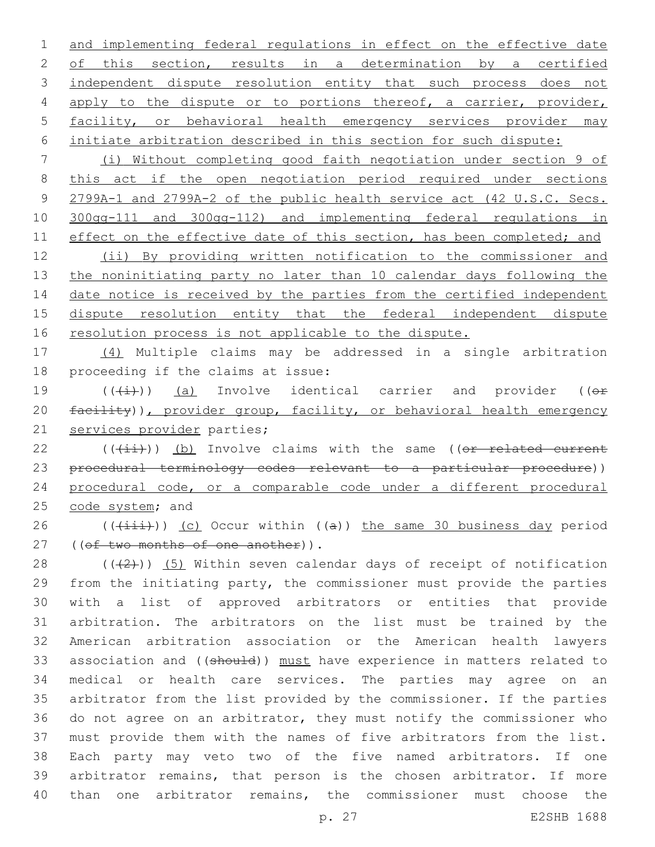1 and implementing federal regulations in effect on the effective date 2 of this section, results in a determination by a certified 3 independent dispute resolution entity that such process does not 4 apply to the dispute or to portions thereof, a carrier, provider, 5 facility, or behavioral health emergency services provider may 6 initiate arbitration described in this section for such dispute:

 (i) Without completing good faith negotiation under section 9 of this act if the open negotiation period required under sections 2799A-1 and 2799A-2 of the public health service act (42 U.S.C. Secs. 300gg-111 and 300gg-112) and implementing federal regulations in 11 effect on the effective date of this section, has been completed; and (ii) By providing written notification to the commissioner and

13 the noninitiating party no later than 10 calendar days following the 14 date notice is received by the parties from the certified independent 15 dispute resolution entity that the federal independent dispute 16 resolution process is not applicable to the dispute.

17 (4) Multiple claims may be addressed in a single arbitration 18 proceeding if the claims at issue:

19  $((\text{(+i)})$  (a) Involve identical carrier and provider (( $\Theta$ f) 20 facility)), provider group, facility, or behavioral health emergency 21 services provider parties;

22 (((ii))) (b) Involve claims with the same ((or related current 23 procedural terminology codes relevant to a particular procedure)) 24 procedural code, or a comparable code under a different procedural 25 code system; and

26 ( $(\overrightarrow{1}i)$ ) (c) Occur within ((a)) the same 30 business day period 27 ((of two months of one another)).

 $((+2+))$  (5) Within seven calendar days of receipt of notification from the initiating party, the commissioner must provide the parties with a list of approved arbitrators or entities that provide arbitration. The arbitrators on the list must be trained by the American arbitration association or the American health lawyers 33 association and ((should)) must have experience in matters related to medical or health care services. The parties may agree on an arbitrator from the list provided by the commissioner. If the parties do not agree on an arbitrator, they must notify the commissioner who must provide them with the names of five arbitrators from the list. Each party may veto two of the five named arbitrators. If one arbitrator remains, that person is the chosen arbitrator. If more than one arbitrator remains, the commissioner must choose the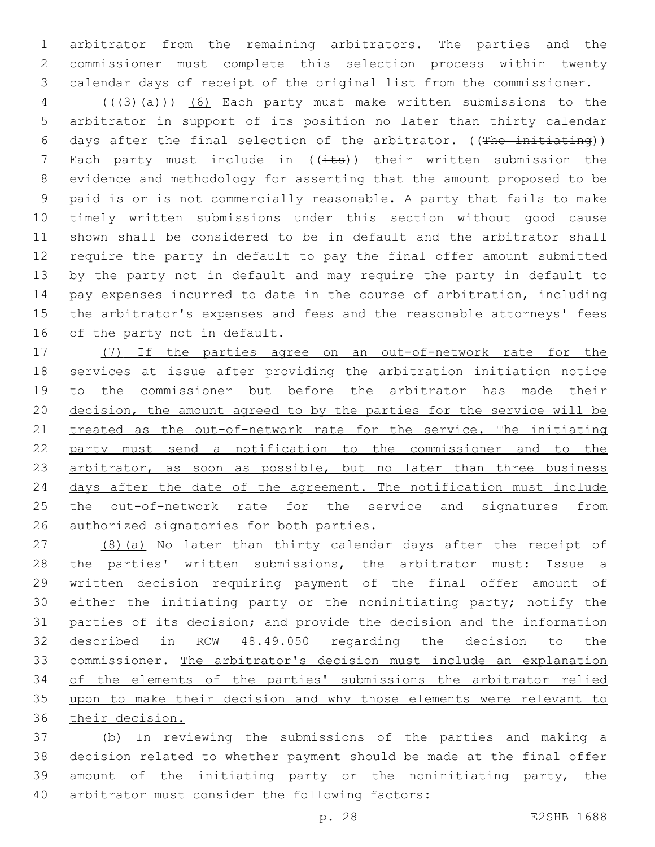arbitrator from the remaining arbitrators. The parties and the commissioner must complete this selection process within twenty calendar days of receipt of the original list from the commissioner.

4 (((43)(a))) (6) Each party must make written submissions to the arbitrator in support of its position no later than thirty calendar days after the final selection of the arbitrator. ((The initiating)) 7 Each party must include in  $((i$ ts)) their written submission the evidence and methodology for asserting that the amount proposed to be paid is or is not commercially reasonable. A party that fails to make timely written submissions under this section without good cause shown shall be considered to be in default and the arbitrator shall require the party in default to pay the final offer amount submitted by the party not in default and may require the party in default to pay expenses incurred to date in the course of arbitration, including the arbitrator's expenses and fees and the reasonable attorneys' fees 16 of the party not in default.

 (7) If the parties agree on an out-of-network rate for the services at issue after providing the arbitration initiation notice 19 to the commissioner but before the arbitrator has made their decision, the amount agreed to by the parties for the service will be treated as the out-of-network rate for the service. The initiating party must send a notification to the commissioner and to the 23 arbitrator, as soon as possible, but no later than three business 24 days after the date of the agreement. The notification must include 25 the out-of-network rate for the service and signatures from authorized signatories for both parties.

27 (8)(a) No later than thirty calendar days after the receipt of the parties' written submissions, the arbitrator must: Issue a written decision requiring payment of the final offer amount of either the initiating party or the noninitiating party; notify the parties of its decision; and provide the decision and the information described in RCW 48.49.050 regarding the decision to the commissioner. The arbitrator's decision must include an explanation of the elements of the parties' submissions the arbitrator relied upon to make their decision and why those elements were relevant to their decision.

 (b) In reviewing the submissions of the parties and making a decision related to whether payment should be made at the final offer amount of the initiating party or the noninitiating party, the 40 arbitrator must consider the following factors: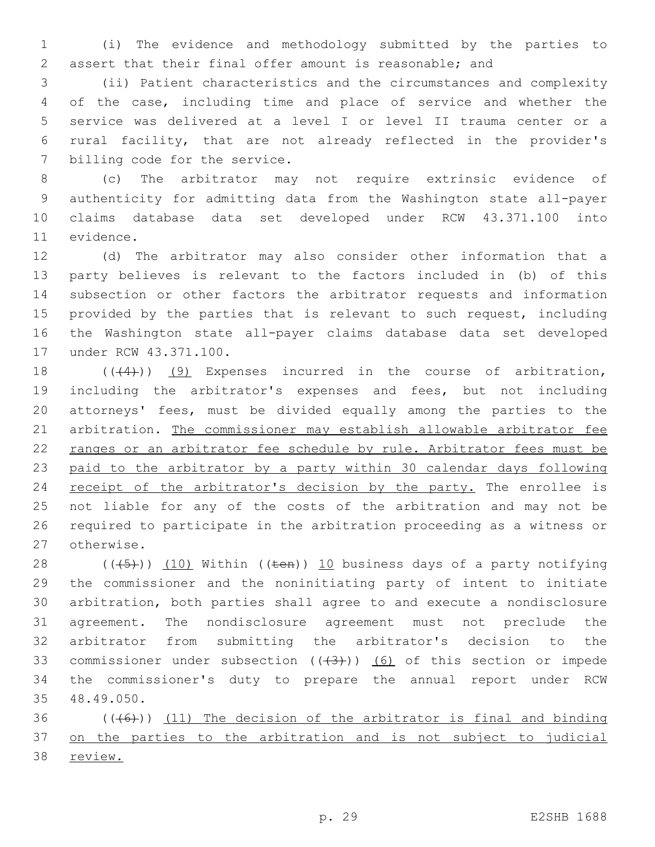(i) The evidence and methodology submitted by the parties to assert that their final offer amount is reasonable; and

 (ii) Patient characteristics and the circumstances and complexity of the case, including time and place of service and whether the service was delivered at a level I or level II trauma center or a rural facility, that are not already reflected in the provider's 7 billing code for the service.

 (c) The arbitrator may not require extrinsic evidence of authenticity for admitting data from the Washington state all-payer claims database data set developed under RCW 43.371.100 into 11 evidence.

 (d) The arbitrator may also consider other information that a party believes is relevant to the factors included in (b) of this subsection or other factors the arbitrator requests and information 15 provided by the parties that is relevant to such request, including the Washington state all-payer claims database data set developed 17 under RCW 43.371.100.

18 (((4))) (9) Expenses incurred in the course of arbitration, including the arbitrator's expenses and fees, but not including attorneys' fees, must be divided equally among the parties to the arbitration. The commissioner may establish allowable arbitrator fee ranges or an arbitrator fee schedule by rule. Arbitrator fees must be paid to the arbitrator by a party within 30 calendar days following 24 receipt of the arbitrator's decision by the party. The enrollee is not liable for any of the costs of the arbitration and may not be required to participate in the arbitration proceeding as a witness or 27 otherwise.

 $((+5+))$   $(10)$  Within  $((+6+))$   $10$  business days of a party notifying the commissioner and the noninitiating party of intent to initiate arbitration, both parties shall agree to and execute a nondisclosure agreement. The nondisclosure agreement must not preclude the arbitrator from submitting the arbitrator's decision to the 33 commissioner under subsection  $((+3))$   $(6)$  of this section or impede the commissioner's duty to prepare the annual report under RCW 48.49.050.35

36  $((+6))$  (11) The decision of the arbitrator is final and binding on the parties to the arbitration and is not subject to judicial review.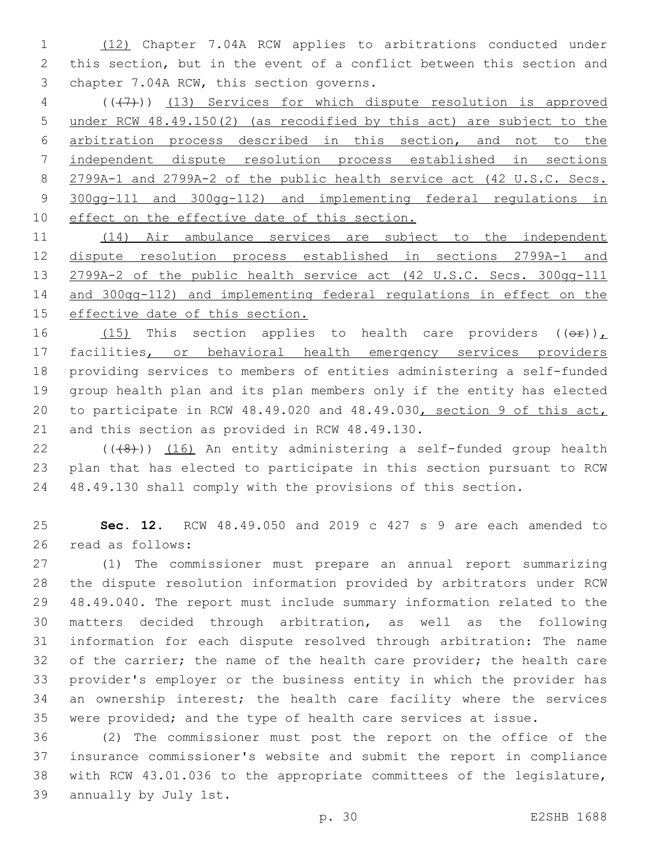(12) Chapter 7.04A RCW applies to arbitrations conducted under this section, but in the event of a conflict between this section and 3 chapter 7.04A RCW, this section governs.

 (((7))) (13) Services for which dispute resolution is approved under RCW 48.49.150(2) (as recodified by this act) are subject to the arbitration process described in this section, and not to the independent dispute resolution process established in sections 2799A-1 and 2799A-2 of the public health service act (42 U.S.C. Secs. 300gg-111 and 300gg-112) and implementing federal regulations in 10 effect on the effective date of this section.

11 (14) Air ambulance services are subject to the independent dispute resolution process established in sections 2799A-1 and 2799A-2 of the public health service act (42 U.S.C. Secs. 300gg-111 and 300gg-112) and implementing federal regulations in effect on the 15 effective date of this section.

 $(15)$  This section applies to health care providers  $((\theta \cdot \hat{r}))$  facilities, or behavioral health emergency services providers providing services to members of entities administering a self-funded group health plan and its plan members only if the entity has elected to participate in RCW 48.49.020 and 48.49.030, section 9 of this act, 21 and this section as provided in RCW 48.49.130.

22  $((\langle 8\rangle))$  (16) An entity administering a self-funded group health plan that has elected to participate in this section pursuant to RCW 48.49.130 shall comply with the provisions of this section.

 **Sec. 12.** RCW 48.49.050 and 2019 c 427 s 9 are each amended to 26 read as follows:

 (1) The commissioner must prepare an annual report summarizing the dispute resolution information provided by arbitrators under RCW 48.49.040. The report must include summary information related to the matters decided through arbitration, as well as the following information for each dispute resolved through arbitration: The name 32 of the carrier; the name of the health care provider; the health care provider's employer or the business entity in which the provider has an ownership interest; the health care facility where the services were provided; and the type of health care services at issue.

 (2) The commissioner must post the report on the office of the insurance commissioner's website and submit the report in compliance with RCW 43.01.036 to the appropriate committees of the legislature, 39 annually by July 1st.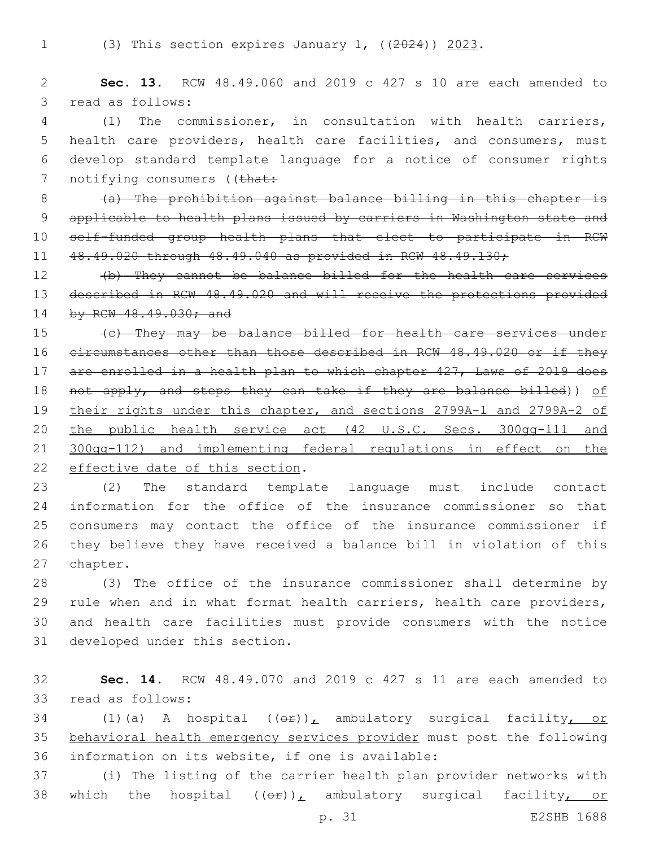1 (3) This section expires January 1, ((2024)) 2023.

2 **Sec. 13.** RCW 48.49.060 and 2019 c 427 s 10 are each amended to 3 read as follows:

 (1) The commissioner, in consultation with health carriers, health care providers, health care facilities, and consumers, must develop standard template language for a notice of consumer rights 7 notifying consumers ((that:

 (a) The prohibition against balance billing in this chapter is 9 applicable to health plans issued by carriers in Washington state and self-funded group health plans that elect to participate in RCW 48.49.020 through 48.49.040 as provided in RCW 48.49.130;

12 (b) They cannot be balance billed for the health care services 13 described in RCW 48.49.020 and will receive the protections provided 14 by RCW 48.49.030; and

15 (c) They may be balance billed for health care services under 16 eircumstances other than those described in RCW 48.49.020 or if they 17 are enrolled in a health plan to which chapter 427, Laws of 2019 does 18 not apply, and steps they can take if they are balance billed)) of 19 their rights under this chapter, and sections 2799A-1 and 2799A-2 of 20 the public health service act (42 U.S.C. Secs. 300gg-111 and 21 300gg-112) and implementing federal regulations in effect on the 22 effective date of this section.

 (2) The standard template language must include contact information for the office of the insurance commissioner so that consumers may contact the office of the insurance commissioner if they believe they have received a balance bill in violation of this 27 chapter.

 (3) The office of the insurance commissioner shall determine by rule when and in what format health carriers, health care providers, and health care facilities must provide consumers with the notice 31 developed under this section.

32 **Sec. 14.** RCW 48.49.070 and 2019 c 427 s 11 are each amended to 33 read as follows:

34 (1)(a) A hospital  $((\theta \cdot \hat{r}))_L$  ambulatory surgical facility, or 35 behavioral health emergency services provider must post the following 36 information on its website, if one is available:

37 (i) The listing of the carrier health plan provider networks with 38 which the hospital  $((\theta \hat{r}))_L$  ambulatory surgical facility, or

p. 31 E2SHB 1688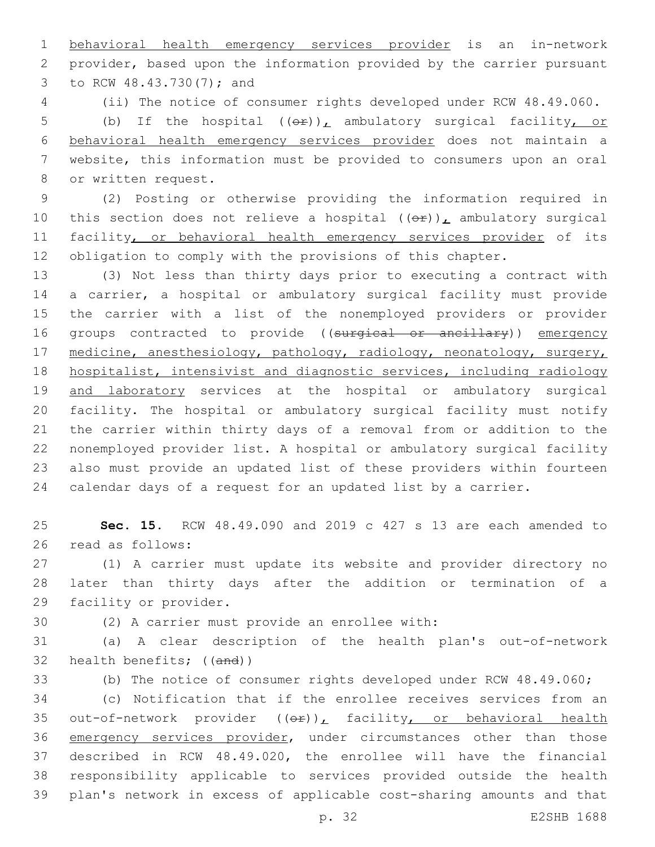behavioral health emergency services provider is an in-network provider, based upon the information provided by the carrier pursuant 3 to RCW 48.43.730(7); and

(ii) The notice of consumer rights developed under RCW 48.49.060.

5 (b) If the hospital  $(\Theta \hat{r})_L$  ambulatory surgical facility, or behavioral health emergency services provider does not maintain a website, this information must be provided to consumers upon an oral 8 or written request.

 (2) Posting or otherwise providing the information required in 10 this section does not relieve a hospital  $((\theta \hat{r}))_L$  ambulatory surgical 11 facility, or behavioral health emergency services provider of its obligation to comply with the provisions of this chapter.

 (3) Not less than thirty days prior to executing a contract with a carrier, a hospital or ambulatory surgical facility must provide the carrier with a list of the nonemployed providers or provider 16 groups contracted to provide ((surgical or ancillary)) emergency 17 medicine, anesthesiology, pathology, radiology, neonatology, surgery, hospitalist, intensivist and diagnostic services, including radiology 19 and laboratory services at the hospital or ambulatory surgical facility. The hospital or ambulatory surgical facility must notify the carrier within thirty days of a removal from or addition to the nonemployed provider list. A hospital or ambulatory surgical facility also must provide an updated list of these providers within fourteen calendar days of a request for an updated list by a carrier.

 **Sec. 15.** RCW 48.49.090 and 2019 c 427 s 13 are each amended to 26 read as follows:

 (1) A carrier must update its website and provider directory no later than thirty days after the addition or termination of a 29 facility or provider.

30 (2) A carrier must provide an enrollee with:

 (a) A clear description of the health plan's out-of-network health benefits; ((and))

(b) The notice of consumer rights developed under RCW 48.49.060;

 (c) Notification that if the enrollee receives services from an 35 out-of-network provider  $((e f)_L)$  facility, or behavioral health 36 emergency services provider, under circumstances other than those described in RCW 48.49.020, the enrollee will have the financial responsibility applicable to services provided outside the health plan's network in excess of applicable cost-sharing amounts and that

p. 32 E2SHB 1688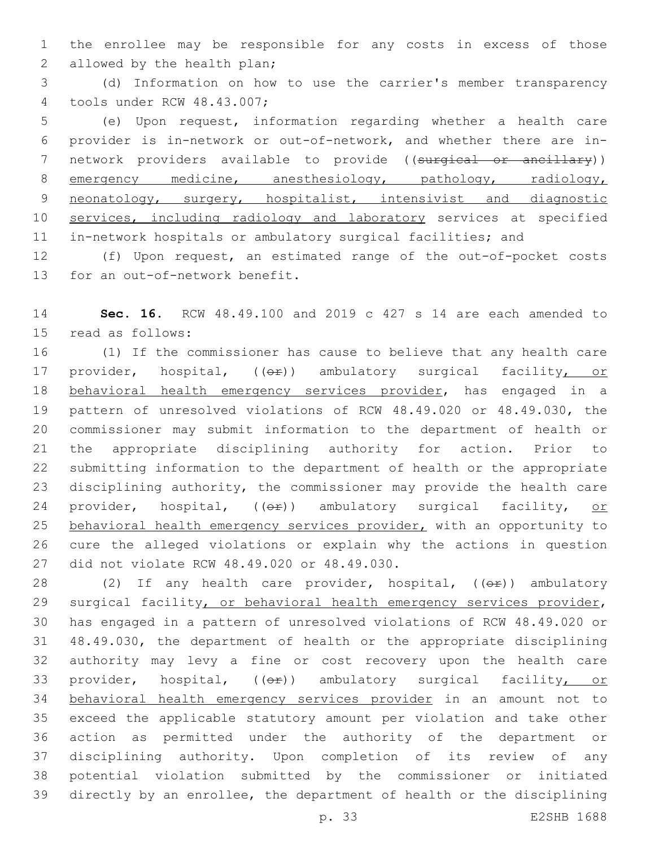1 the enrollee may be responsible for any costs in excess of those 2 allowed by the health plan;

3 (d) Information on how to use the carrier's member transparency 4 tools under RCW 48.43.007;

5 (e) Upon request, information regarding whether a health care 6 provider is in-network or out-of-network, and whether there are in-7 network providers available to provide ((surgical or ancillary)) 8 emergency medicine, anesthesiology, pathology, radiology, 9 neonatology, surgery, hospitalist, intensivist and diagnostic 10 services, including radiology and laboratory services at specified 11 in-network hospitals or ambulatory surgical facilities; and

12 (f) Upon request, an estimated range of the out-of-pocket costs 13 for an out-of-network benefit.

14 **Sec. 16.** RCW 48.49.100 and 2019 c 427 s 14 are each amended to 15 read as follows:

16 (1) If the commissioner has cause to believe that any health care 17 provider, hospital, (( $\Theta$ ) ambulatory surgical facility, or 18 behavioral health emergency services provider, has engaged in a 19 pattern of unresolved violations of RCW 48.49.020 or 48.49.030, the 20 commissioner may submit information to the department of health or 21 the appropriate disciplining authority for action. Prior to 22 submitting information to the department of health or the appropriate 23 disciplining authority, the commissioner may provide the health care 24 provider, hospital, (( $\Theta$ ) ambulatory surgical facility, or 25 behavioral health emergency services provider, with an opportunity to 26 cure the alleged violations or explain why the actions in question 27 did not violate RCW 48.49.020 or 48.49.030.

28 (2) If any health care provider, hospital,  $((\theta \hat{r}))$  ambulatory surgical facility, or behavioral health emergency services provider, has engaged in a pattern of unresolved violations of RCW 48.49.020 or 48.49.030, the department of health or the appropriate disciplining authority may levy a fine or cost recovery upon the health care 33 provider, hospital, (( $\Theta$ )) ambulatory surgical facility, or behavioral health emergency services provider in an amount not to exceed the applicable statutory amount per violation and take other action as permitted under the authority of the department or disciplining authority. Upon completion of its review of any potential violation submitted by the commissioner or initiated directly by an enrollee, the department of health or the disciplining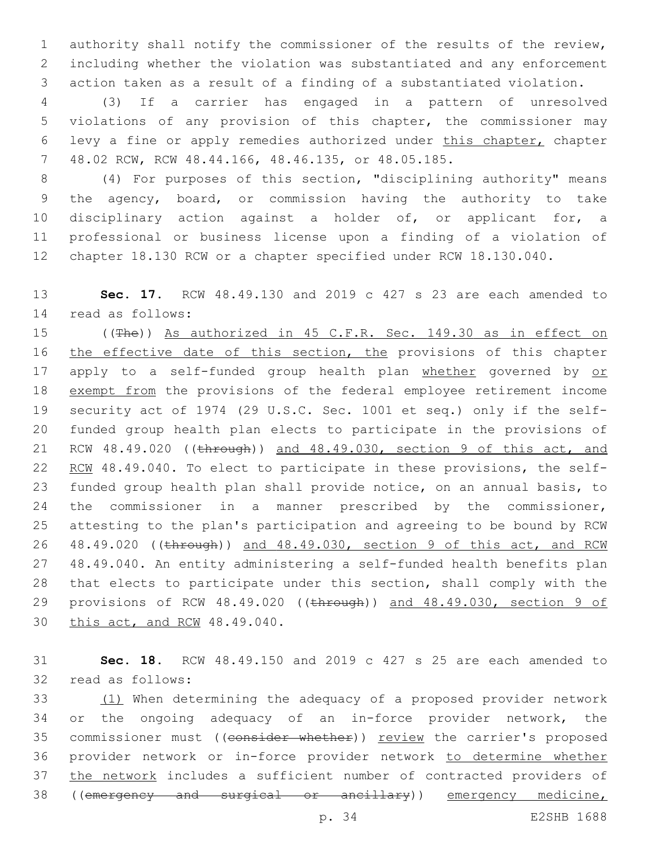authority shall notify the commissioner of the results of the review, including whether the violation was substantiated and any enforcement action taken as a result of a finding of a substantiated violation.

 (3) If a carrier has engaged in a pattern of unresolved violations of any provision of this chapter, the commissioner may levy a fine or apply remedies authorized under this chapter, chapter 48.02 RCW, RCW 48.44.166, 48.46.135, or 48.05.185.7

 (4) For purposes of this section, "disciplining authority" means the agency, board, or commission having the authority to take disciplinary action against a holder of, or applicant for, a professional or business license upon a finding of a violation of chapter 18.130 RCW or a chapter specified under RCW 18.130.040.

 **Sec. 17.** RCW 48.49.130 and 2019 c 427 s 23 are each amended to read as follows:14

 ((The)) As authorized in 45 C.F.R. Sec. 149.30 as in effect on 16 the effective date of this section, the provisions of this chapter 17 apply to a self-funded group health plan whether governed by or exempt from the provisions of the federal employee retirement income security act of 1974 (29 U.S.C. Sec. 1001 et seq.) only if the self- funded group health plan elects to participate in the provisions of 21 RCW 48.49.020 ((through)) and 48.49.030, section 9 of this act, and 22 RCW 48.49.040. To elect to participate in these provisions, the self- funded group health plan shall provide notice, on an annual basis, to the commissioner in a manner prescribed by the commissioner, attesting to the plan's participation and agreeing to be bound by RCW 48.49.020 ((through)) and 48.49.030, section 9 of this act, and RCW 48.49.040. An entity administering a self-funded health benefits plan that elects to participate under this section, shall comply with the 29 provisions of RCW 48.49.020 ((through)) and 48.49.030, section 9 of 30 this act, and RCW 48.49.040.

 **Sec. 18.** RCW 48.49.150 and 2019 c 427 s 25 are each amended to 32 read as follows:

 (1) When determining the adequacy of a proposed provider network or the ongoing adequacy of an in-force provider network, the 35 commissioner must ((consider whether)) review the carrier's proposed provider network or in-force provider network to determine whether 37 the network includes a sufficient number of contracted providers of 38 ((emergency and surgical or ancillary)) emergency medicine,

p. 34 E2SHB 1688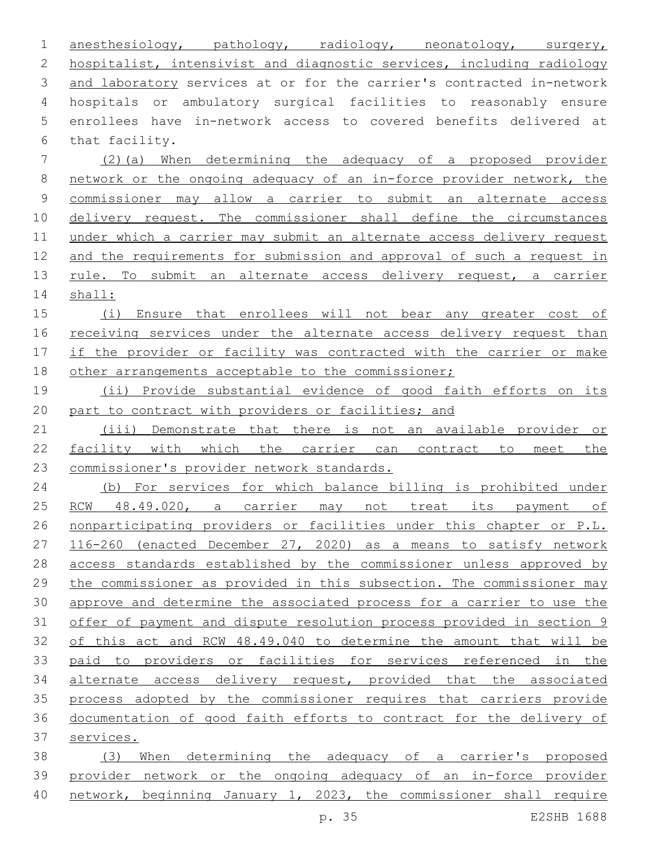| $\mathbf 1$    | anesthesiology, pathology, radiology, neonatology, surgery,           |
|----------------|-----------------------------------------------------------------------|
| $\mathbf{2}$   | hospitalist, intensivist and diagnostic services, including radiology |
| 3              | and laboratory services at or for the carrier's contracted in-network |
| $\overline{4}$ | hospitals or ambulatory surgical facilities to reasonably ensure      |
| 5              | enrollees have in-network access to covered benefits delivered at     |
| 6              | that facility.                                                        |
| 7              | (2) (a) When determining the adequacy of a proposed provider          |
| $\,8\,$        | network or the ongoing adequacy of an in-force provider network, the  |
| $\mathsf 9$    | commissioner may allow a carrier to submit an alternate access        |
| 10             | delivery request. The commissioner shall define the circumstances     |
| 11             | under which a carrier may submit an alternate access delivery request |
| 12             | and the requirements for submission and approval of such a request in |
| 13             | rule. To submit an alternate access delivery request, a carrier       |
| 14             | shall:                                                                |
| 15             | (i)<br>Ensure that enrollees will not bear any greater cost of        |
| 16             | receiving services under the alternate access delivery request than   |
| 17             | if the provider or facility was contracted with the carrier or make   |
| 18             | other arrangements acceptable to the commissioner;                    |
| 19             | (ii) Provide substantial evidence of good faith efforts on its        |
| 20             | part to contract with providers or facilities; and                    |
| 21             | (iii) Demonstrate that there is not an available provider or          |
| 22             | facility with which the carrier can contract to<br>the<br>meet        |
| 23             | commissioner's provider network standards.                            |
| 24             | (b) For services for which balance billing is prohibited under        |
| 25             | 48.49.020, a carrier may not treat its payment<br>RCW<br>оf           |
| 26             | nonparticipating providers or facilities under this chapter or P.L.   |
| 27             | 116-260 (enacted December 27, 2020) as a means to satisfy network     |
| 28             | access standards established by the commissioner unless approved by   |
| 29             | the commissioner as provided in this subsection. The commissioner may |
| 30             | approve and determine the associated process for a carrier to use the |
| 31             | offer of payment and dispute resolution process provided in section 9 |
| 32             | of this act and RCW 48.49.040 to determine the amount that will be    |
| 33             | paid to providers or facilities for services referenced in the        |
| 34             | alternate access delivery request, provided that the associated       |
| 35             | process adopted by the commissioner requires that carriers provide    |
| 36             | documentation of good faith efforts to contract for the delivery of   |
| 37             | services.                                                             |
| 38             | (3) When determining the adequacy of a carrier's proposed             |
| 39             | provider network or the ongoing adequacy of an in-force provider      |
| 40             | network, beginning January 1, 2023, the commissioner shall require    |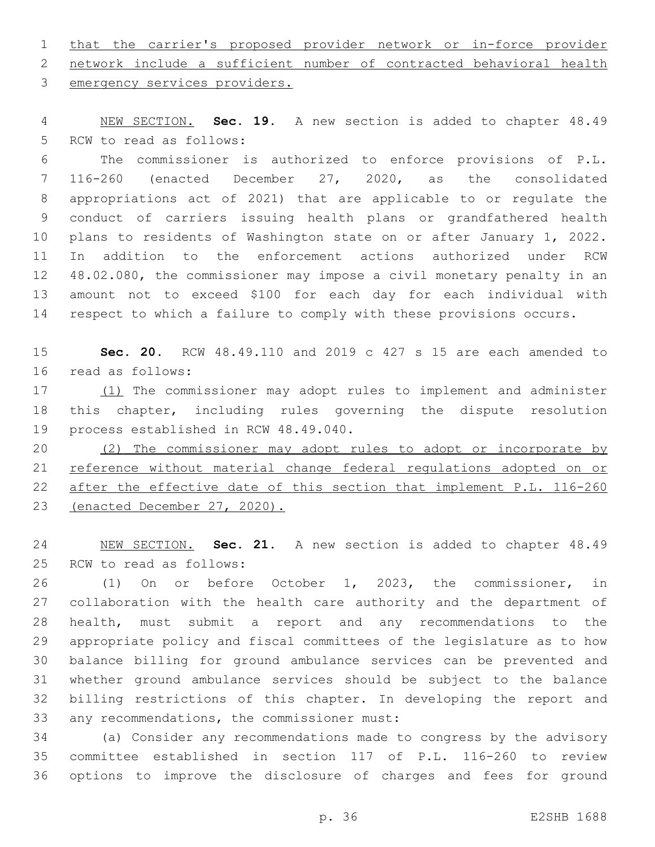that the carrier's proposed provider network or in-force provider network include a sufficient number of contracted behavioral health 3 emergency services providers.

 NEW SECTION. **Sec. 19.** A new section is added to chapter 48.49 5 RCW to read as follows:

 The commissioner is authorized to enforce provisions of P.L. 116-260 (enacted December 27, 2020, as the consolidated appropriations act of 2021) that are applicable to or regulate the conduct of carriers issuing health plans or grandfathered health plans to residents of Washington state on or after January 1, 2022. In addition to the enforcement actions authorized under RCW 48.02.080, the commissioner may impose a civil monetary penalty in an amount not to exceed \$100 for each day for each individual with respect to which a failure to comply with these provisions occurs.

 **Sec. 20.** RCW 48.49.110 and 2019 c 427 s 15 are each amended to 16 read as follows:

17 (1) The commissioner may adopt rules to implement and administer this chapter, including rules governing the dispute resolution 19 process established in RCW 48.49.040.

 (2) The commissioner may adopt rules to adopt or incorporate by reference without material change federal regulations adopted on or after the effective date of this section that implement P.L. 116-260 (enacted December 27, 2020).

 NEW SECTION. **Sec. 21.** A new section is added to chapter 48.49 25 RCW to read as follows:

 (1) On or before October 1, 2023, the commissioner, in collaboration with the health care authority and the department of health, must submit a report and any recommendations to the appropriate policy and fiscal committees of the legislature as to how balance billing for ground ambulance services can be prevented and whether ground ambulance services should be subject to the balance billing restrictions of this chapter. In developing the report and 33 any recommendations, the commissioner must:

 (a) Consider any recommendations made to congress by the advisory committee established in section 117 of P.L. 116-260 to review options to improve the disclosure of charges and fees for ground